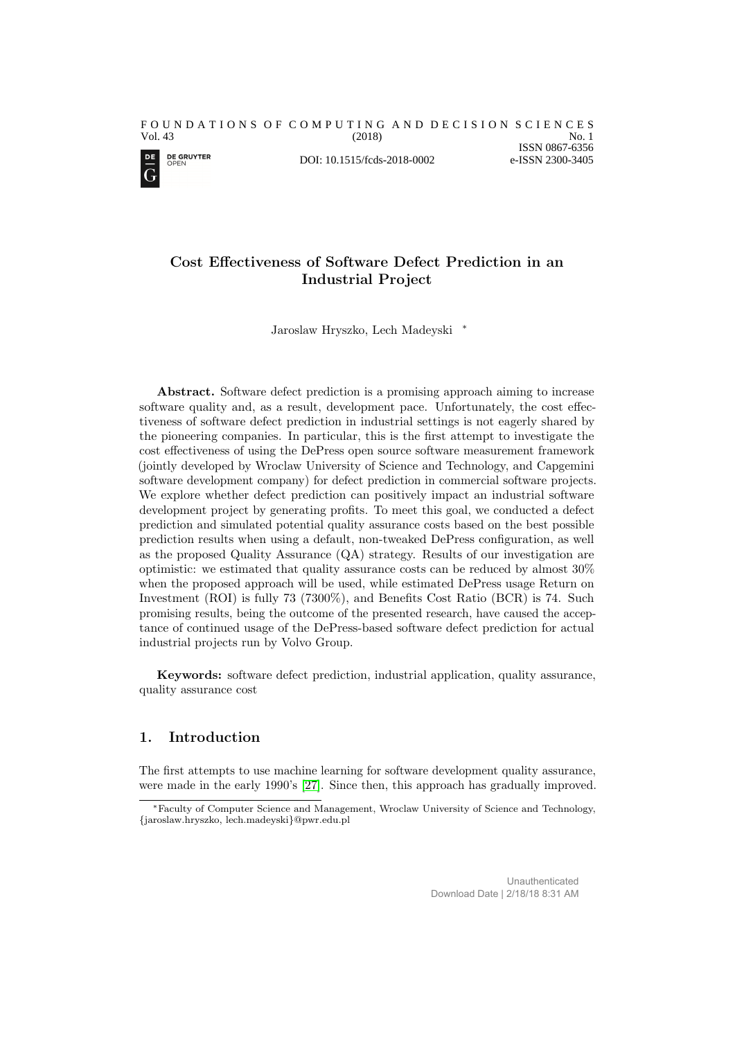

DOI: 10.1515/fcds-2018-0002 e-ISSN 2300-3405

ISSN 0867-6356

# Cost Effectiveness of Software Defect Prediction in an Industrial Project

Jaroslaw Hryszko, Lech Madeyski <sup>∗</sup>

Abstract. Software defect prediction is a promising approach aiming to increase software quality and, as a result, development pace. Unfortunately, the cost effectiveness of software defect prediction in industrial settings is not eagerly shared by the pioneering companies. In particular, this is the first attempt to investigate the cost effectiveness of using the DePress open source software measurement framework (jointly developed by Wroclaw University of Science and Technology, and Capgemini software development company) for defect prediction in commercial software projects. We explore whether defect prediction can positively impact an industrial software development project by generating profits. To meet this goal, we conducted a defect prediction and simulated potential quality assurance costs based on the best possible prediction results when using a default, non-tweaked DePress configuration, as well as the proposed Quality Assurance (QA) strategy. Results of our investigation are optimistic: we estimated that quality assurance costs can be reduced by almost 30% when the proposed approach will be used, while estimated DePress usage Return on Investment (ROI) is fully 73 (7300%), and Benefits Cost Ratio (BCR) is 74. Such promising results, being the outcome of the presented research, have caused the acceptance of continued usage of the DePress-based software defect prediction for actual industrial projects run by Volvo Group.

Keywords: software defect prediction, industrial application, quality assurance, quality assurance cost

# 1. Introduction

The first attempts to use machine learning for software development quality assurance, were made in the early 1990's [\[27\]](#page-26-0). Since then, this approach has gradually improved.

<sup>∗</sup>Faculty of Computer Science and Management, Wroclaw University of Science and Technology, {jaroslaw.hryszko, lech.madeyski}@pwr.edu.pl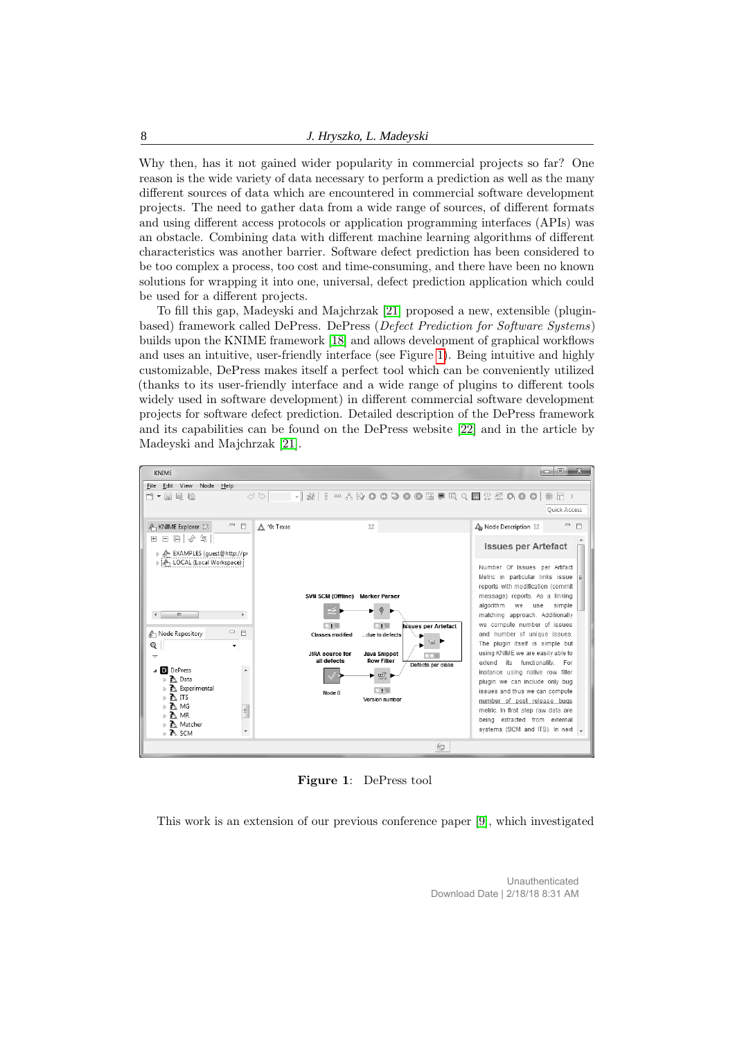Why then, has it not gained wider popularity in commercial projects so far? One reason is the wide variety of data necessary to perform a prediction as well as the many different sources of data which are encountered in commercial software development projects. The need to gather data from a wide range of sources, of different formats and using different access protocols or application programming interfaces (APIs) was an obstacle. Combining data with different machine learning algorithms of different characteristics was another barrier. Software defect prediction has been considered to be too complex a process, too cost and time-consuming, and there have been no known solutions for wrapping it into one, universal, defect prediction application which could be used for a different projects.

To fill this gap, Madeyski and Majchrzak [\[21\]](#page-25-0) proposed a new, extensible (pluginbased) framework called DePress. DePress (Defect Prediction for Software Systems) builds upon the KNIME framework [\[18\]](#page-25-1) and allows development of graphical workflows and uses an intuitive, user-friendly interface (see Figure [1\)](#page-1-0). Being intuitive and highly customizable, DePress makes itself a perfect tool which can be conveniently utilized (thanks to its user-friendly interface and a wide range of plugins to different tools widely used in software development) in different commercial software development projects for software defect prediction. Detailed description of the DePress framework and its capabilities can be found on the DePress website [\[22\]](#page-26-1) and in the article by Madeyski and Majchrzak [\[21\]](#page-25-0).



<span id="page-1-0"></span>Figure 1: DePress tool

This work is an extension of our previous conference paper [\[9\]](#page-24-0), which investigated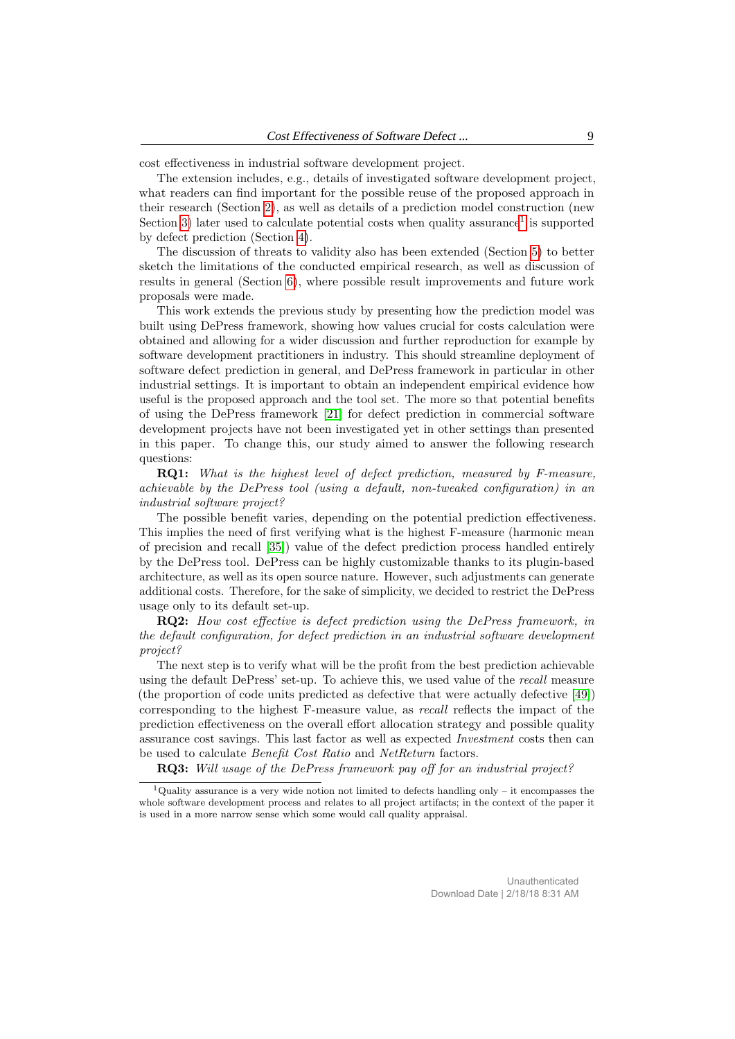cost effectiveness in industrial software development project.

The extension includes, e.g., details of investigated software development project, what readers can find important for the possible reuse of the proposed approach in their research (Section [2\)](#page-3-0), as well as details of a prediction model construction (new Section [3\)](#page-6-0) later used to calculate potential costs when quality assurance<sup>[1](#page-2-0)</sup> is supported by defect prediction (Section [4\)](#page-11-0).

The discussion of threats to validity also has been extended (Section [5\)](#page-20-0) to better sketch the limitations of the conducted empirical research, as well as discussion of results in general (Section [6\)](#page-22-0), where possible result improvements and future work proposals were made.

This work extends the previous study by presenting how the prediction model was built using DePress framework, showing how values crucial for costs calculation were obtained and allowing for a wider discussion and further reproduction for example by software development practitioners in industry. This should streamline deployment of software defect prediction in general, and DePress framework in particular in other industrial settings. It is important to obtain an independent empirical evidence how useful is the proposed approach and the tool set. The more so that potential benefits of using the DePress framework [\[21\]](#page-25-0) for defect prediction in commercial software development projects have not been investigated yet in other settings than presented in this paper. To change this, our study aimed to answer the following research questions:

**RQ1:** What is the highest level of defect prediction, measured by F-measure, achievable by the DePress tool (using a default, non-tweaked configuration) in an industrial software project?

The possible benefit varies, depending on the potential prediction effectiveness. This implies the need of first verifying what is the highest F-measure (harmonic mean of precision and recall [\[35\]](#page-26-2)) value of the defect prediction process handled entirely by the DePress tool. DePress can be highly customizable thanks to its plugin-based architecture, as well as its open source nature. However, such adjustments can generate additional costs. Therefore, for the sake of simplicity, we decided to restrict the DePress usage only to its default set-up.

RQ2: How cost effective is defect prediction using the DePress framework, in the default configuration, for defect prediction in an industrial software development project?

The next step is to verify what will be the profit from the best prediction achievable using the default DePress' set-up. To achieve this, we used value of the recall measure (the proportion of code units predicted as defective that were actually defective [\[49\]](#page-28-0)) corresponding to the highest F-measure value, as recall reflects the impact of the prediction effectiveness on the overall effort allocation strategy and possible quality assurance cost savings. This last factor as well as expected Investment costs then can be used to calculate *Benefit Cost Ratio* and *NetReturn* factors.

<span id="page-2-0"></span>RQ3: Will usage of the DePress framework pay off for an industrial project?

<sup>&</sup>lt;sup>1</sup>Quality assurance is a very wide notion not limited to defects handling only – it encompasses the whole software development process and relates to all project artifacts; in the context of the paper it is used in a more narrow sense which some would call quality appraisal.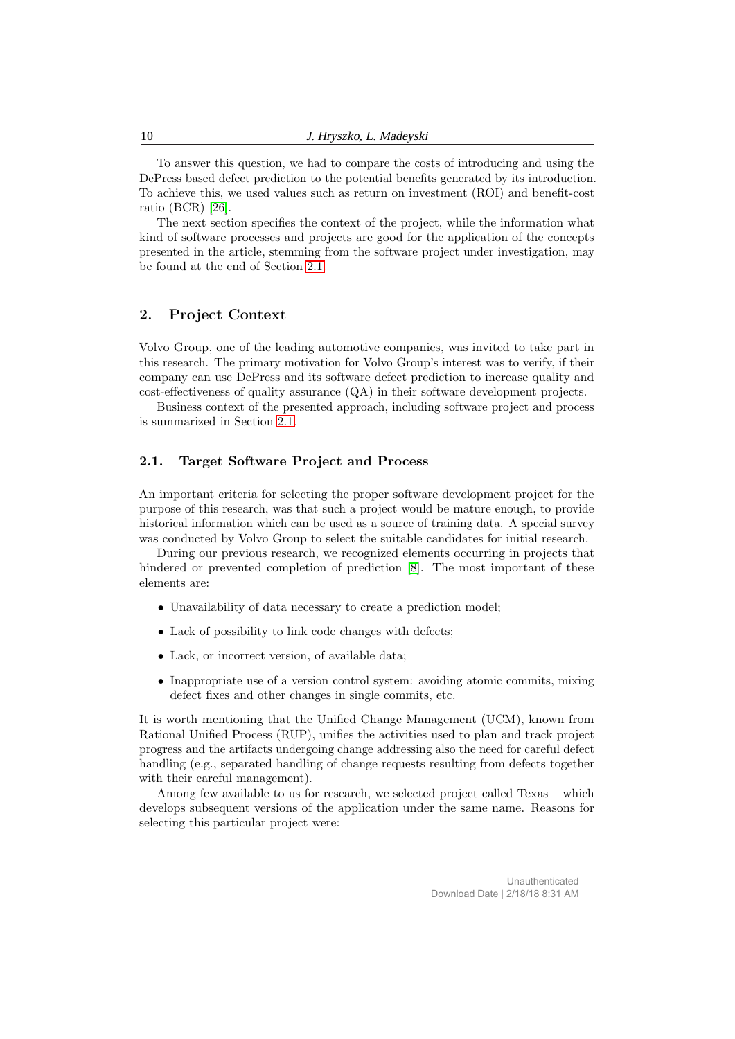To answer this question, we had to compare the costs of introducing and using the DePress based defect prediction to the potential benefits generated by its introduction. To achieve this, we used values such as return on investment (ROI) and benefit-cost ratio (BCR) [\[26\]](#page-26-3).

The next section specifies the context of the project, while the information what kind of software processes and projects are good for the application of the concepts presented in the article, stemming from the software project under investigation, may be found at the end of Section [2.1.](#page-3-1)

# <span id="page-3-0"></span>2. Project Context

Volvo Group, one of the leading automotive companies, was invited to take part in this research. The primary motivation for Volvo Group's interest was to verify, if their company can use DePress and its software defect prediction to increase quality and cost-effectiveness of quality assurance (QA) in their software development projects.

<span id="page-3-1"></span>Business context of the presented approach, including software project and process is summarized in Section [2.1.](#page-3-1)

# 2.1. Target Software Project and Process

An important criteria for selecting the proper software development project for the purpose of this research, was that such a project would be mature enough, to provide historical information which can be used as a source of training data. A special survey was conducted by Volvo Group to select the suitable candidates for initial research.

During our previous research, we recognized elements occurring in projects that hindered or prevented completion of prediction [\[8\]](#page-24-1). The most important of these elements are:

- Unavailability of data necessary to create a prediction model;
- Lack of possibility to link code changes with defects;
- Lack, or incorrect version, of available data;
- Inappropriate use of a version control system: avoiding atomic commits, mixing defect fixes and other changes in single commits, etc.

It is worth mentioning that the Unified Change Management (UCM), known from Rational Unified Process (RUP), unifies the activities used to plan and track project progress and the artifacts undergoing change addressing also the need for careful defect handling (e.g., separated handling of change requests resulting from defects together with their careful management).

Among few available to us for research, we selected project called Texas – which develops subsequent versions of the application under the same name. Reasons for selecting this particular project were: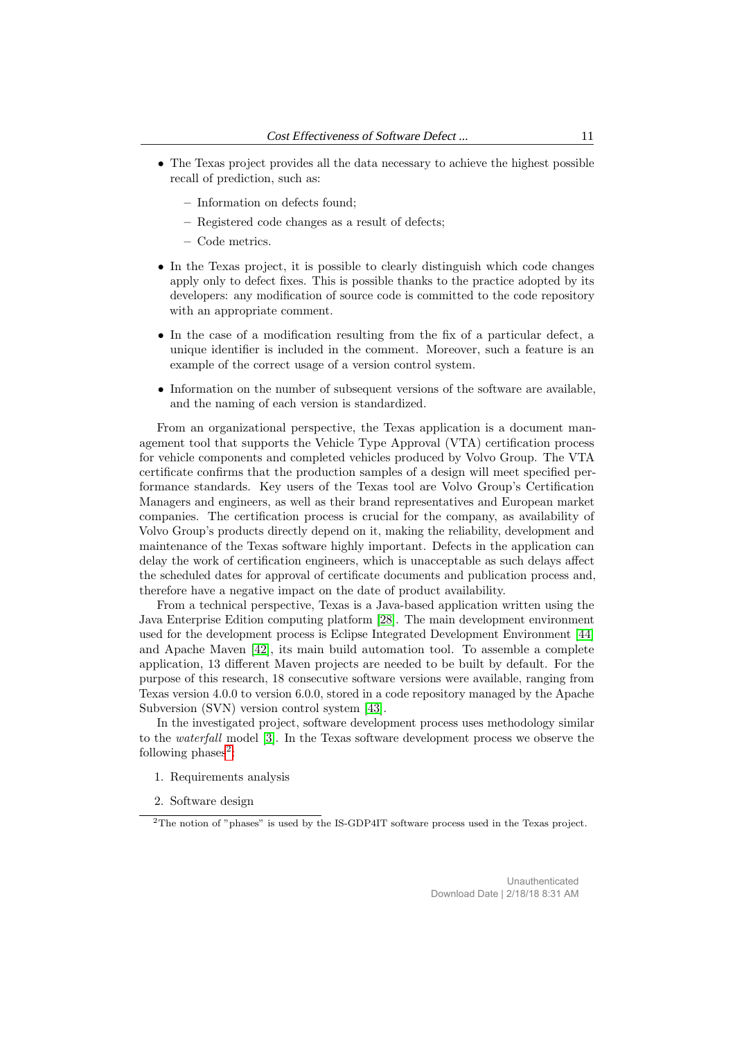- The Texas project provides all the data necessary to achieve the highest possible recall of prediction, such as:
	- Information on defects found;
	- Registered code changes as a result of defects;
	- Code metrics.
- In the Texas project, it is possible to clearly distinguish which code changes apply only to defect fixes. This is possible thanks to the practice adopted by its developers: any modification of source code is committed to the code repository with an appropriate comment.
- In the case of a modification resulting from the fix of a particular defect, a unique identifier is included in the comment. Moreover, such a feature is an example of the correct usage of a version control system.
- Information on the number of subsequent versions of the software are available, and the naming of each version is standardized.

From an organizational perspective, the Texas application is a document management tool that supports the Vehicle Type Approval (VTA) certification process for vehicle components and completed vehicles produced by Volvo Group. The VTA certificate confirms that the production samples of a design will meet specified performance standards. Key users of the Texas tool are Volvo Group's Certification Managers and engineers, as well as their brand representatives and European market companies. The certification process is crucial for the company, as availability of Volvo Group's products directly depend on it, making the reliability, development and maintenance of the Texas software highly important. Defects in the application can delay the work of certification engineers, which is unacceptable as such delays affect the scheduled dates for approval of certificate documents and publication process and, therefore have a negative impact on the date of product availability.

From a technical perspective, Texas is a Java-based application written using the Java Enterprise Edition computing platform [\[28\]](#page-26-4). The main development environment used for the development process is Eclipse Integrated Development Environment [\[44\]](#page-27-0) and Apache Maven [\[42\]](#page-27-1), its main build automation tool. To assemble a complete application, 13 different Maven projects are needed to be built by default. For the purpose of this research, 18 consecutive software versions were available, ranging from Texas version 4.0.0 to version 6.0.0, stored in a code repository managed by the Apache Subversion (SVN) version control system [\[43\]](#page-27-2).

In the investigated project, software development process uses methodology similar to the waterfall model [\[3\]](#page-24-2). In the Texas software development process we observe the following  $phases<sup>2</sup>$  $phases<sup>2</sup>$  $phases<sup>2</sup>$ :

- 1. Requirements analysis
- 2. Software design

<span id="page-4-0"></span><sup>2</sup>The notion of "phases" is used by the IS-GDP4IT software process used in the Texas project.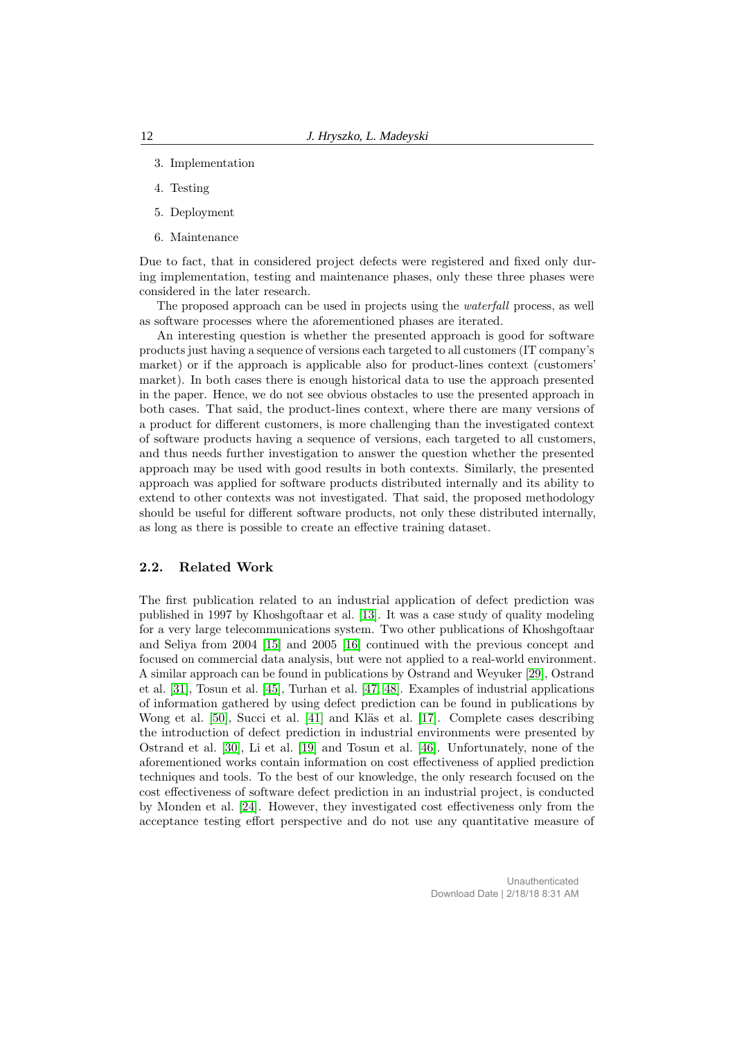- 3. Implementation
- 4. Testing
- 5. Deployment
- 6. Maintenance

Due to fact, that in considered project defects were registered and fixed only during implementation, testing and maintenance phases, only these three phases were considered in the later research.

The proposed approach can be used in projects using the *waterfall* process, as well as software processes where the aforementioned phases are iterated.

An interesting question is whether the presented approach is good for software products just having a sequence of versions each targeted to all customers (IT company's market) or if the approach is applicable also for product-lines context (customers' market). In both cases there is enough historical data to use the approach presented in the paper. Hence, we do not see obvious obstacles to use the presented approach in both cases. That said, the product-lines context, where there are many versions of a product for different customers, is more challenging than the investigated context of software products having a sequence of versions, each targeted to all customers, and thus needs further investigation to answer the question whether the presented approach may be used with good results in both contexts. Similarly, the presented approach was applied for software products distributed internally and its ability to extend to other contexts was not investigated. That said, the proposed methodology should be useful for different software products, not only these distributed internally, as long as there is possible to create an effective training dataset.

#### 2.2. Related Work

The first publication related to an industrial application of defect prediction was published in 1997 by Khoshgoftaar et al. [\[13\]](#page-25-2). It was a case study of quality modeling for a very large telecommunications system. Two other publications of Khoshgoftaar and Seliya from 2004 [\[15\]](#page-25-3) and 2005 [\[16\]](#page-25-4) continued with the previous concept and focused on commercial data analysis, but were not applied to a real-world environment. A similar approach can be found in publications by Ostrand and Weyuker [\[29\]](#page-26-5), Ostrand et al. [\[31\]](#page-26-6), Tosun et al. [\[45\]](#page-27-3), Turhan et al. [\[47,](#page-27-4) [48\]](#page-27-5). Examples of industrial applications of information gathered by using defect prediction can be found in publications by Wong et al. [\[50\]](#page-28-1), Succi et al. [\[41\]](#page-27-6) and Kläs et al. [\[17\]](#page-25-5). Complete cases describing the introduction of defect prediction in industrial environments were presented by Ostrand et al. [\[30\]](#page-26-7), Li et al. [\[19\]](#page-25-6) and Tosun et al. [\[46\]](#page-27-7). Unfortunately, none of the aforementioned works contain information on cost effectiveness of applied prediction techniques and tools. To the best of our knowledge, the only research focused on the cost effectiveness of software defect prediction in an industrial project, is conducted by Monden et al. [\[24\]](#page-26-8). However, they investigated cost effectiveness only from the acceptance testing effort perspective and do not use any quantitative measure of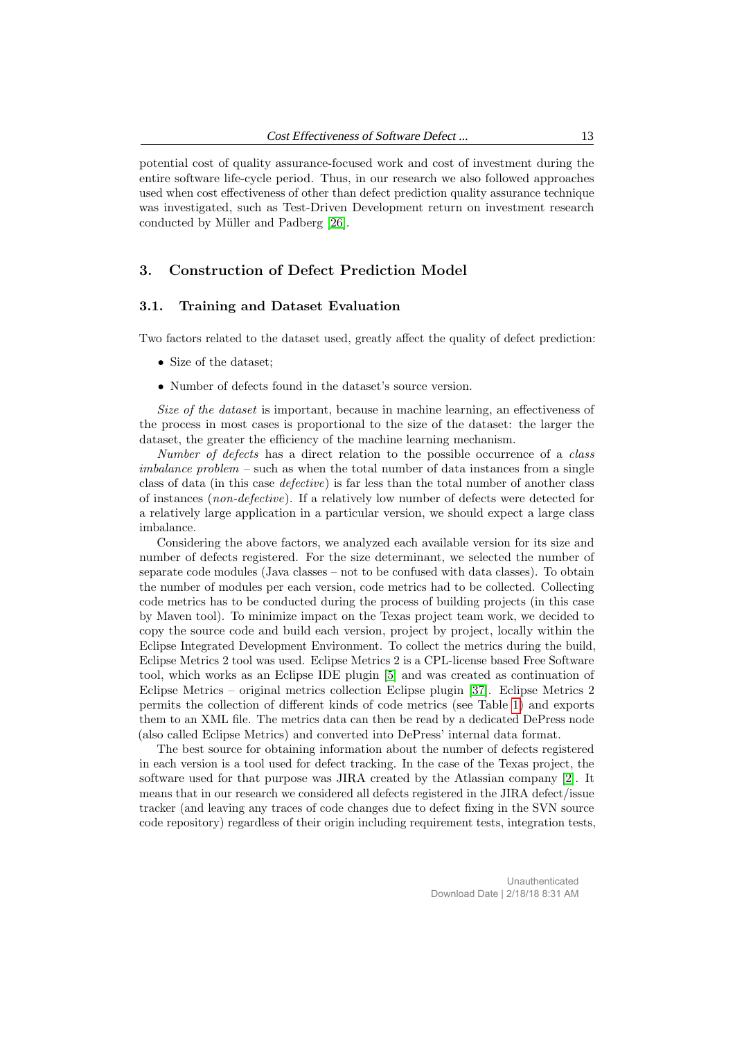potential cost of quality assurance-focused work and cost of investment during the entire software life-cycle period. Thus, in our research we also followed approaches used when cost effectiveness of other than defect prediction quality assurance technique was investigated, such as Test-Driven Development return on investment research conducted by Müller and Padberg [\[26\]](#page-26-3).

# <span id="page-6-0"></span>3. Construction of Defect Prediction Model

### 3.1. Training and Dataset Evaluation

Two factors related to the dataset used, greatly affect the quality of defect prediction:

- Size of the dataset;
- Number of defects found in the dataset's source version.

Size of the dataset is important, because in machine learning, an effectiveness of the process in most cases is proportional to the size of the dataset: the larger the dataset, the greater the efficiency of the machine learning mechanism.

Number of defects has a direct relation to the possible occurrence of a class *imbalance problem –* such as when the total number of data instances from a single class of data (in this case defective) is far less than the total number of another class of instances (non-defective). If a relatively low number of defects were detected for a relatively large application in a particular version, we should expect a large class imbalance.

Considering the above factors, we analyzed each available version for its size and number of defects registered. For the size determinant, we selected the number of separate code modules (Java classes – not to be confused with data classes). To obtain the number of modules per each version, code metrics had to be collected. Collecting code metrics has to be conducted during the process of building projects (in this case by Maven tool). To minimize impact on the Texas project team work, we decided to copy the source code and build each version, project by project, locally within the Eclipse Integrated Development Environment. To collect the metrics during the build, Eclipse Metrics 2 tool was used. Eclipse Metrics 2 is a CPL-license based Free Software tool, which works as an Eclipse IDE plugin [\[5\]](#page-24-3) and was created as continuation of Eclipse Metrics – original metrics collection Eclipse plugin [\[37\]](#page-27-8). Eclipse Metrics 2 permits the collection of different kinds of code metrics (see Table [1\)](#page-7-0) and exports them to an XML file. The metrics data can then be read by a dedicated DePress node (also called Eclipse Metrics) and converted into DePress' internal data format.

The best source for obtaining information about the number of defects registered in each version is a tool used for defect tracking. In the case of the Texas project, the software used for that purpose was JIRA created by the Atlassian company [\[2\]](#page-24-4). It means that in our research we considered all defects registered in the JIRA defect/issue tracker (and leaving any traces of code changes due to defect fixing in the SVN source code repository) regardless of their origin including requirement tests, integration tests,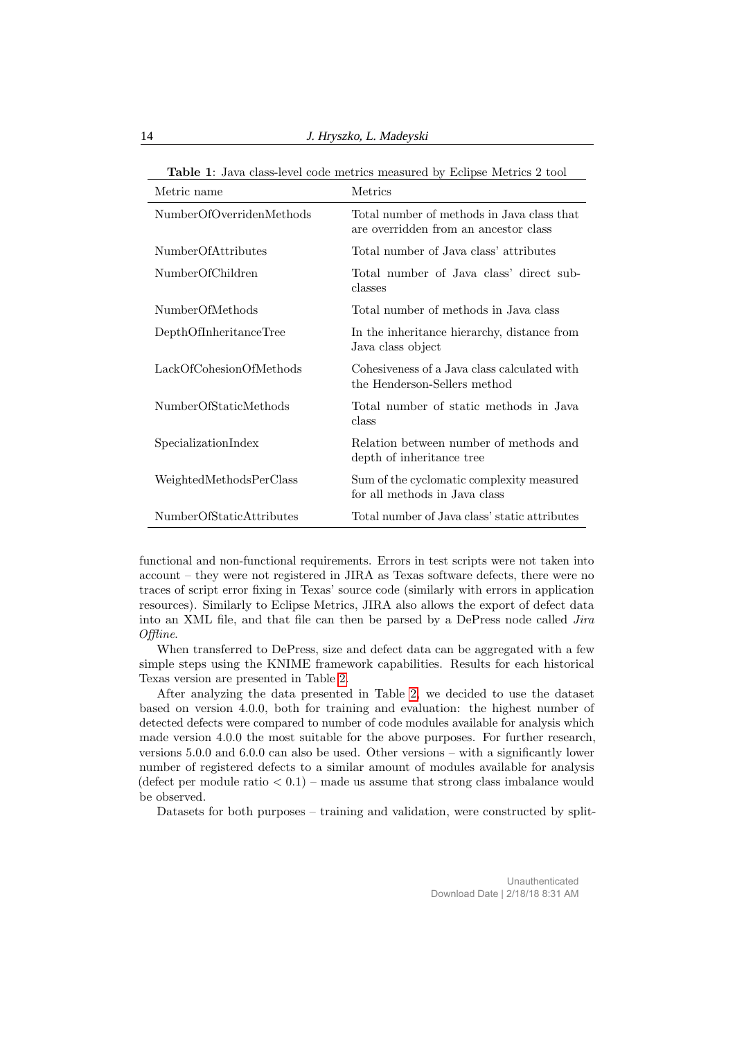| Metric name              | Metrics                                                                             |
|--------------------------|-------------------------------------------------------------------------------------|
| NumberOfOverridenMethods | Total number of methods in Java class that<br>are overridden from an ancestor class |
| NumberOfAttributes       | Total number of Java class' attributes                                              |
| NumberOfChildren         | Total number of Java class' direct sub-<br>classes                                  |
| NumberOfMethods          | Total number of methods in Java class                                               |
| DepthOfInheritanceTree   | In the inheritance hierarchy, distance from<br>Java class object                    |
| LackOfCohesionOfMethods  | Cohesiveness of a Java class calculated with<br>the Henderson-Sellers method        |
| NumberOfStaticMethods    | Total number of static methods in Java<br>class                                     |
| SpecializationIndex      | Relation between number of methods and<br>depth of inheritance tree                 |
| WeightedMethodsPerClass  | Sum of the cyclomatic complexity measured<br>for all methods in Java class          |
| NumberOfStaticAttributes | Total number of Java class' static attributes                                       |

<span id="page-7-0"></span>Table 1: Java class-level code metrics measured by Eclipse Metrics 2 tool

functional and non-functional requirements. Errors in test scripts were not taken into account – they were not registered in JIRA as Texas software defects, there were no traces of script error fixing in Texas' source code (similarly with errors in application resources). Similarly to Eclipse Metrics, JIRA also allows the export of defect data into an XML file, and that file can then be parsed by a DePress node called Jira Offline.

When transferred to DePress, size and defect data can be aggregated with a few simple steps using the KNIME framework capabilities. Results for each historical Texas version are presented in Table [2.](#page-8-0)

After analyzing the data presented in Table [2,](#page-8-0) we decided to use the dataset based on version 4.0.0, both for training and evaluation: the highest number of detected defects were compared to number of code modules available for analysis which made version 4.0.0 the most suitable for the above purposes. For further research, versions 5.0.0 and 6.0.0 can also be used. Other versions – with a significantly lower number of registered defects to a similar amount of modules available for analysis (defect per module ratio  $< 0.1$ ) – made us assume that strong class imbalance would be observed.

Datasets for both purposes – training and validation, were constructed by split-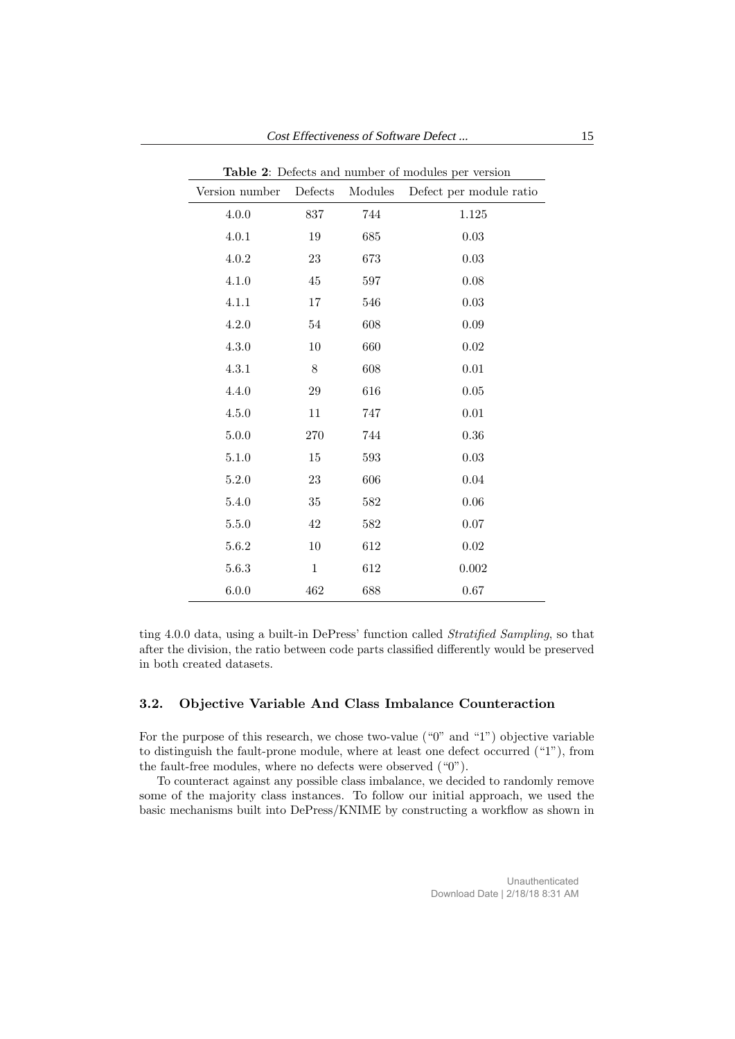| <b>Table 2:</b> Defects and number of modules per version |              |         |                         |  |  |  |  |
|-----------------------------------------------------------|--------------|---------|-------------------------|--|--|--|--|
| Version number                                            | Defects      | Modules | Defect per module ratio |  |  |  |  |
| 4.0.0                                                     | 837          | 744     | 1.125                   |  |  |  |  |
| 4.0.1                                                     | 19           | 685     | $0.03\,$                |  |  |  |  |
| 4.0.2                                                     | 23           | 673     | $0.03\,$                |  |  |  |  |
| 4.1.0                                                     | 45           | 597     | $0.08\,$                |  |  |  |  |
| 4.1.1                                                     | 17           | 546     | $0.03\,$                |  |  |  |  |
| 4.2.0                                                     | 54           | 608     | $0.09\,$                |  |  |  |  |
| $4.3.0\,$                                                 | 10           | 660     | $0.02\,$                |  |  |  |  |
| 4.3.1                                                     | $8\,$        | 608     | $0.01\,$                |  |  |  |  |
| 4.4.0                                                     | $\,29$       | 616     | $0.05\,$                |  |  |  |  |
| 4.5.0                                                     | 11           | 747     | $0.01\,$                |  |  |  |  |
| $5.0.0\,$                                                 | $270\,$      | 744     | $0.36\,$                |  |  |  |  |
| 5.1.0                                                     | 15           | 593     | $0.03\,$                |  |  |  |  |
| 5.2.0                                                     | $23\,$       | 606     | $0.04\,$                |  |  |  |  |
| $5.4.0\,$                                                 | $35\,$       | 582     | $0.06\,$                |  |  |  |  |
| 5.5.0                                                     | 42           | 582     | $0.07\,$                |  |  |  |  |
| 5.6.2                                                     | $10\,$       | 612     | $0.02\,$                |  |  |  |  |
| 5.6.3                                                     | $\mathbf{1}$ | 612     | $0.002\,$               |  |  |  |  |
| 6.0.0                                                     | 462          | 688     | $0.67\,$                |  |  |  |  |

<span id="page-8-0"></span>Table 2: Defects and number of modules per version

ting 4.0.0 data, using a built-in DePress' function called Stratified Sampling, so that after the division, the ratio between code parts classified differently would be preserved in both created datasets.

## <span id="page-8-1"></span>3.2. Objective Variable And Class Imbalance Counteraction

For the purpose of this research, we chose two-value  $(90)$  and  $(1)$ <sup>"</sup>) objective variable to distinguish the fault-prone module, where at least one defect occurred ("1"), from the fault-free modules, where no defects were observed ("0").

To counteract against any possible class imbalance, we decided to randomly remove some of the majority class instances. To follow our initial approach, we used the basic mechanisms built into DePress/KNIME by constructing a workflow as shown in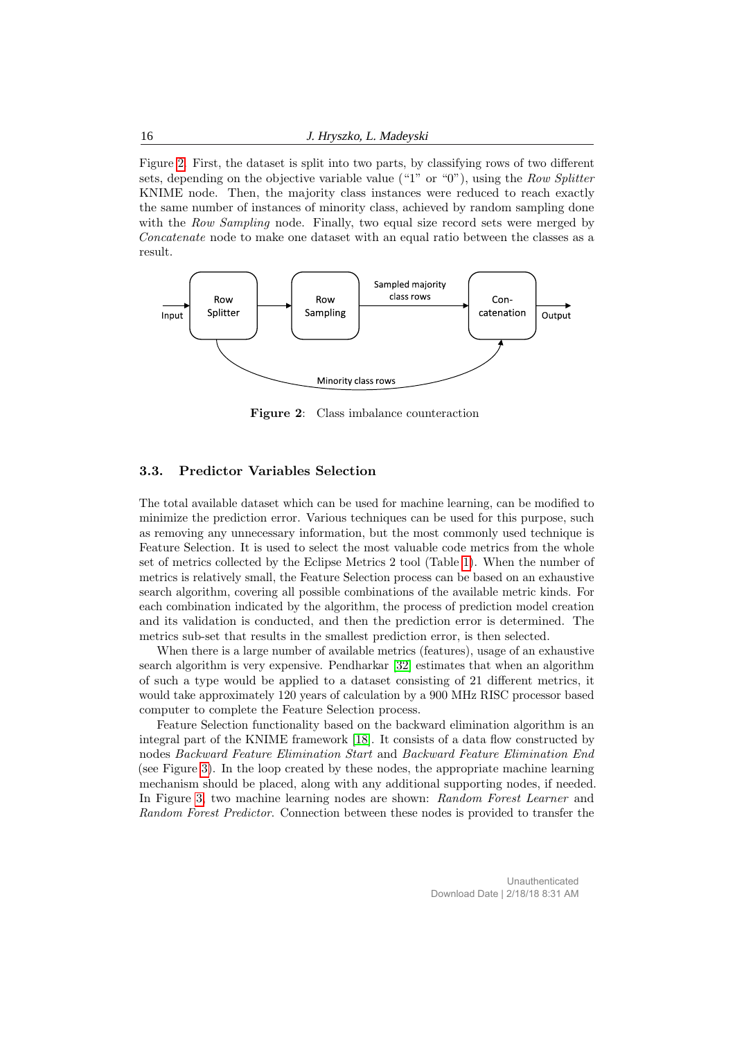Figure [2.](#page-9-0) First, the dataset is split into two parts, by classifying rows of two different sets, depending on the objective variable value ("1" or "0"), using the Row Splitter KNIME node. Then, the majority class instances were reduced to reach exactly the same number of instances of minority class, achieved by random sampling done with the Row Sampling node. Finally, two equal size record sets were merged by Concatenate node to make one dataset with an equal ratio between the classes as a result.



<span id="page-9-0"></span>Figure 2: Class imbalance counteraction

### <span id="page-9-1"></span>3.3. Predictor Variables Selection

The total available dataset which can be used for machine learning, can be modified to minimize the prediction error. Various techniques can be used for this purpose, such as removing any unnecessary information, but the most commonly used technique is Feature Selection. It is used to select the most valuable code metrics from the whole set of metrics collected by the Eclipse Metrics 2 tool (Table [1\)](#page-7-0). When the number of metrics is relatively small, the Feature Selection process can be based on an exhaustive search algorithm, covering all possible combinations of the available metric kinds. For each combination indicated by the algorithm, the process of prediction model creation and its validation is conducted, and then the prediction error is determined. The metrics sub-set that results in the smallest prediction error, is then selected.

When there is a large number of available metrics (features), usage of an exhaustive search algorithm is very expensive. Pendharkar [\[32\]](#page-26-9) estimates that when an algorithm of such a type would be applied to a dataset consisting of 21 different metrics, it would take approximately 120 years of calculation by a 900 MHz RISC processor based computer to complete the Feature Selection process.

Feature Selection functionality based on the backward elimination algorithm is an integral part of the KNIME framework [\[18\]](#page-25-1). It consists of a data flow constructed by nodes Backward Feature Elimination Start and Backward Feature Elimination End (see Figure [3\)](#page-10-0). In the loop created by these nodes, the appropriate machine learning mechanism should be placed, along with any additional supporting nodes, if needed. In Figure [3,](#page-10-0) two machine learning nodes are shown: Random Forest Learner and Random Forest Predictor. Connection between these nodes is provided to transfer the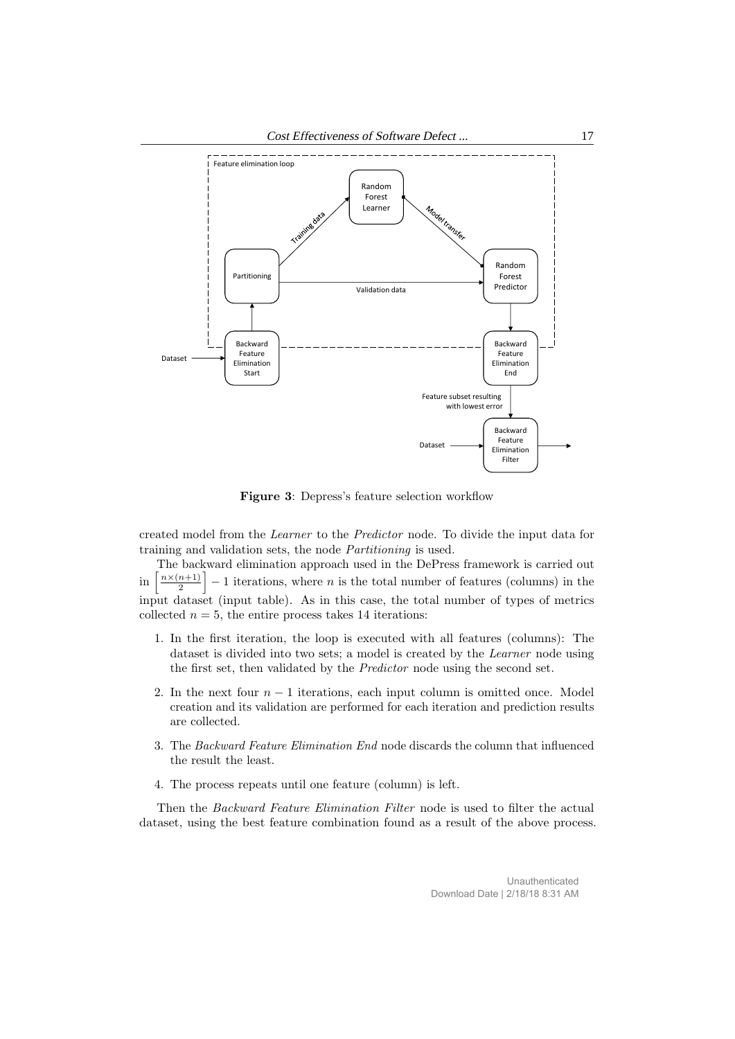

<span id="page-10-0"></span>Figure 3: Depress's feature selection workflow

created model from the Learner to the Predictor node. To divide the input data for training and validation sets, the node Partitioning is used.

The backward elimination approach used in the DePress framework is carried out  $\operatorname{in}$  $\frac{n\times(n+1)}{n+1}$ 2  $-1$  iterations, where *n* is the total number of features (columns) in the input dataset (input table). As in this case, the total number of types of metrics collected  $n = 5$ , the entire process takes 14 iterations:

- 1. In the first iteration, the loop is executed with all features (columns): The dataset is divided into two sets; a model is created by the Learner node using the first set, then validated by the Predictor node using the second set.
- 2. In the next four  $n-1$  iterations, each input column is omitted once. Model creation and its validation are performed for each iteration and prediction results are collected.
- 3. The Backward Feature Elimination End node discards the column that influenced the result the least.
- 4. The process repeats until one feature (column) is left.

Then the Backward Feature Elimination Filter node is used to filter the actual dataset, using the best feature combination found as a result of the above process.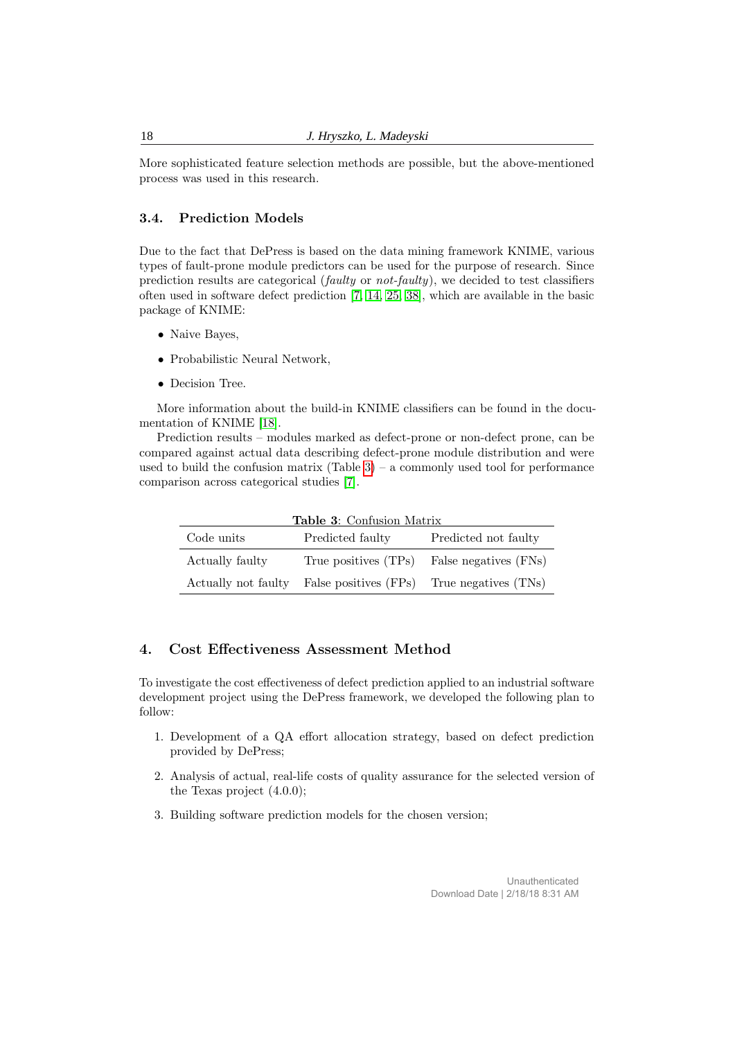More sophisticated feature selection methods are possible, but the above-mentioned process was used in this research.

# 3.4. Prediction Models

Due to the fact that DePress is based on the data mining framework KNIME, various types of fault-prone module predictors can be used for the purpose of research. Since prediction results are categorical *(faulty or not-faulty)*, we decided to test classifiers often used in software defect prediction [\[7,](#page-24-5) [14,](#page-25-7) [25,](#page-26-10) [38\]](#page-27-9), which are available in the basic package of KNIME:

- Naive Bayes,
- Probabilistic Neural Network,
- Decision Tree

More information about the build-in KNIME classifiers can be found in the documentation of KNIME [\[18\]](#page-25-1).

Prediction results – modules marked as defect-prone or non-defect prone, can be compared against actual data describing defect-prone module distribution and were used to build the confusion matrix  $(Table 3) - a$  $(Table 3) - a$  $(Table 3) - a$  commonly used tool for performance comparison across categorical studies [\[7\]](#page-24-5).

<span id="page-11-1"></span>

| <b>Table 3:</b> Confusion Matrix |                       |                       |  |  |  |
|----------------------------------|-----------------------|-----------------------|--|--|--|
| Code units                       | Predicted faulty      | Predicted not faulty  |  |  |  |
| Actually faulty                  | True positives (TPs)  | False negatives (FNs) |  |  |  |
| Actually not faulty              | False positives (FPs) | True negatives (TNs)  |  |  |  |

# <span id="page-11-0"></span>4. Cost Effectiveness Assessment Method

To investigate the cost effectiveness of defect prediction applied to an industrial software development project using the DePress framework, we developed the following plan to follow:

- 1. Development of a QA effort allocation strategy, based on defect prediction provided by DePress;
- 2. Analysis of actual, real-life costs of quality assurance for the selected version of the Texas project (4.0.0);
- 3. Building software prediction models for the chosen version;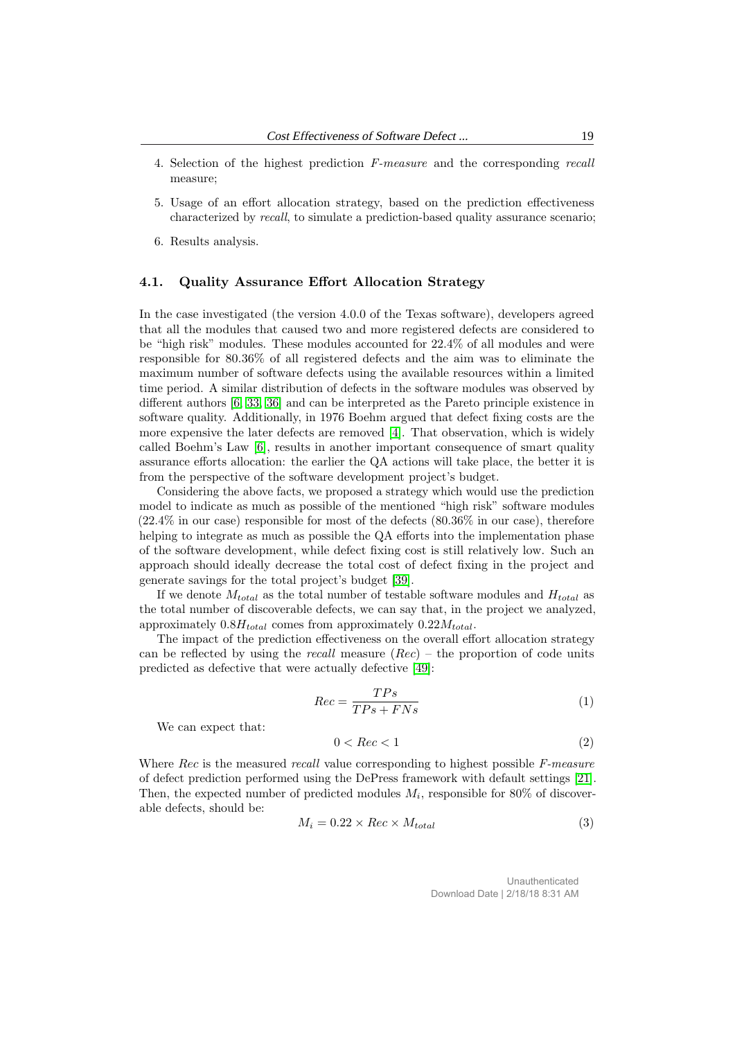- 4. Selection of the highest prediction F-measure and the corresponding recall measure;
- 5. Usage of an effort allocation strategy, based on the prediction effectiveness characterized by recall, to simulate a prediction-based quality assurance scenario;
- 6. Results analysis.

#### <span id="page-12-0"></span>4.1. Quality Assurance Effort Allocation Strategy

In the case investigated (the version 4.0.0 of the Texas software), developers agreed that all the modules that caused two and more registered defects are considered to be "high risk" modules. These modules accounted for 22.4% of all modules and were responsible for 80.36% of all registered defects and the aim was to eliminate the maximum number of software defects using the available resources within a limited time period. A similar distribution of defects in the software modules was observed by different authors [\[6,](#page-24-6) [33,](#page-26-11) [36\]](#page-27-10) and can be interpreted as the Pareto principle existence in software quality. Additionally, in 1976 Boehm argued that defect fixing costs are the more expensive the later defects are removed [\[4\]](#page-24-7). That observation, which is widely called Boehm's Law [\[6\]](#page-24-6), results in another important consequence of smart quality assurance efforts allocation: the earlier the QA actions will take place, the better it is from the perspective of the software development project's budget.

Considering the above facts, we proposed a strategy which would use the prediction model to indicate as much as possible of the mentioned "high risk" software modules  $(22.4\%$  in our case) responsible for most of the defects  $(80.36\%$  in our case), therefore helping to integrate as much as possible the QA efforts into the implementation phase of the software development, while defect fixing cost is still relatively low. Such an approach should ideally decrease the total cost of defect fixing in the project and generate savings for the total project's budget [\[39\]](#page-27-11).

If we denote  $M_{total}$  as the total number of testable software modules and  $H_{total}$  as the total number of discoverable defects, we can say that, in the project we analyzed, approximately  $0.8H_{total}$  comes from approximately  $0.22M_{total}$ .

The impact of the prediction effectiveness on the overall effort allocation strategy can be reflected by using the *recall* measure  $(Rec)$  – the proportion of code units predicted as defective that were actually defective [\[49\]](#page-28-0):

$$
Rec = \frac{TPs}{TPs + FNs} \tag{1}
$$

We can expect that:

$$
0 < Rec < 1\tag{2}
$$

Where Rec is the measured recall value corresponding to highest possible F-measure of defect prediction performed using the DePress framework with default settings [\[21\]](#page-25-0). Then, the expected number of predicted modules  $M_i$ , responsible for 80% of discoverable defects, should be:

$$
M_i = 0.22 \times Rec \times M_{total}
$$
\n<sup>(3)</sup>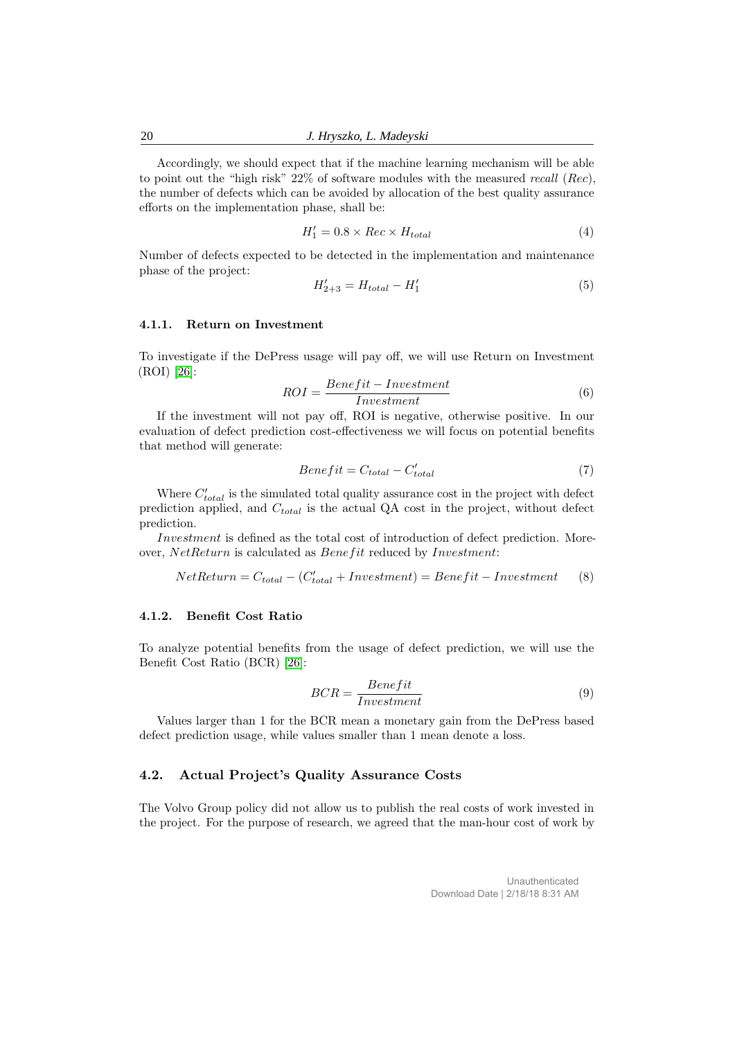Accordingly, we should expect that if the machine learning mechanism will be able to point out the "high risk"  $22\%$  of software modules with the measured recall  $(Rec)$ . the number of defects which can be avoided by allocation of the best quality assurance efforts on the implementation phase, shall be:

<span id="page-13-0"></span>
$$
H_1' = 0.8 \times Rec \times H_{total} \tag{4}
$$

Number of defects expected to be detected in the implementation and maintenance phase of the project:

<span id="page-13-1"></span>
$$
H'_{2+3} = H_{total} - H'_{1}
$$
 (5)

#### 4.1.1. Return on Investment

To investigate if the DePress usage will pay off, we will use Return on Investment (ROI) [\[26\]](#page-26-3):

<span id="page-13-5"></span>
$$
ROI = \frac{Benefit - Investment}{Investment}
$$
 (6)

If the investment will not pay off, ROI is negative, otherwise positive. In our evaluation of defect prediction cost-effectiveness we will focus on potential benefits that method will generate:

<span id="page-13-3"></span>
$$
Benefit = C_{total} - C'_{total} \tag{7}
$$

Where  $C'_{total}$  is the simulated total quality assurance cost in the project with defect prediction applied, and  $C_{total}$  is the actual QA cost in the project, without defect prediction.

Investment is defined as the total cost of introduction of defect prediction. Moreover,  $NetReturn$  is calculated as  $Benefit$  reduced by  $Investment$ :

<span id="page-13-4"></span>
$$
NetReturn = C_{total} - (C'_{total} + Investment) = Benefit - Investment
$$
 (8)

#### 4.1.2. Benefit Cost Ratio

To analyze potential benefits from the usage of defect prediction, we will use the Benefit Cost Ratio (BCR) [\[26\]](#page-26-3):

<span id="page-13-2"></span>
$$
BCR = \frac{Benefit}{Investment}
$$
 (9)

Values larger than 1 for the BCR mean a monetary gain from the DePress based defect prediction usage, while values smaller than 1 mean denote a loss.

#### 4.2. Actual Project's Quality Assurance Costs

The Volvo Group policy did not allow us to publish the real costs of work invested in the project. For the purpose of research, we agreed that the man-hour cost of work by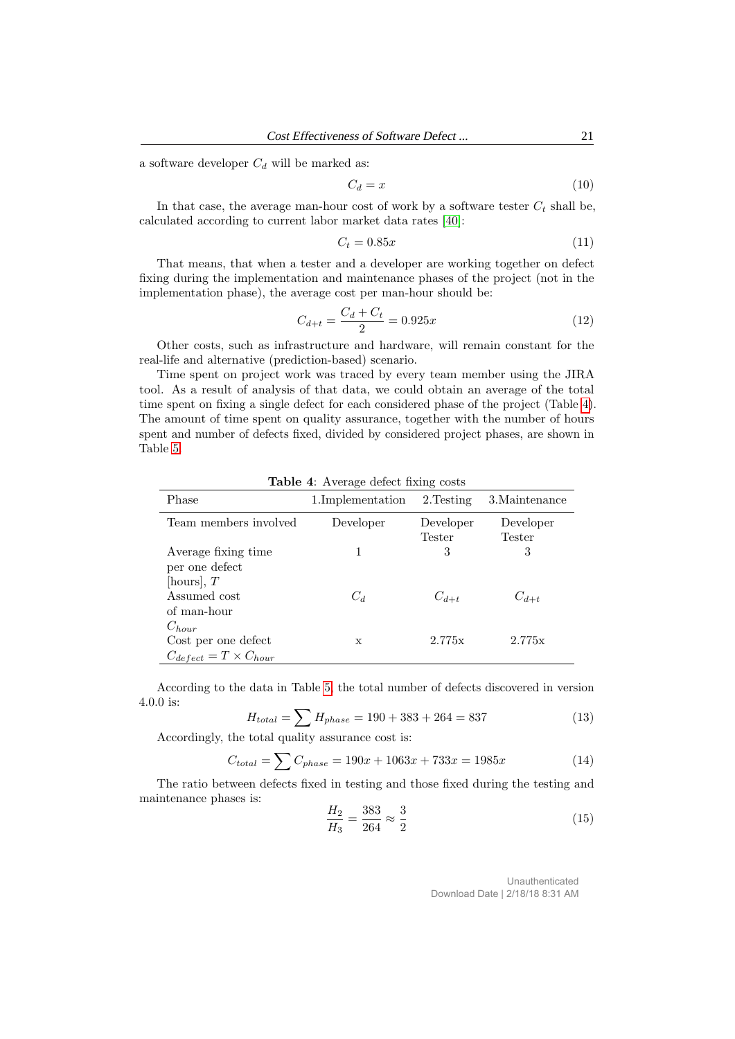a software developer  $C_d$  will be marked as:

$$
C_d = x \tag{10}
$$

In that case, the average man-hour cost of work by a software tester  $C_t$  shall be, calculated according to current labor market data rates [\[40\]](#page-27-12):

$$
C_t = 0.85x\tag{11}
$$

That means, that when a tester and a developer are working together on defect fixing during the implementation and maintenance phases of the project (not in the implementation phase), the average cost per man-hour should be:

$$
C_{d+t} = \frac{C_d + C_t}{2} = 0.925x\tag{12}
$$

Other costs, such as infrastructure and hardware, will remain constant for the real-life and alternative (prediction-based) scenario.

Time spent on project work was traced by every team member using the JIRA tool. As a result of analysis of that data, we could obtain an average of the total time spent on fixing a single defect for each considered phase of the project (Table [4\)](#page-14-0). The amount of time spent on quality assurance, together with the number of hours spent and number of defects fixed, divided by considered project phases, are shown in Table [5.](#page-15-0)

| Phase                            | 1.Implementation | 2. Testing | 3. Maintenance |
|----------------------------------|------------------|------------|----------------|
| Team members involved            | Developer        | Developer  | Developer      |
|                                  |                  | Tester     | Tester         |
| Average fixing time              |                  | 3          | 3              |
| per one defect                   |                  |            |                |
| [hours], $T$                     |                  |            |                |
| Assumed cost                     | $C_d$            | $C_{d+t}$  | $C_{d+t}$      |
| of man-hour                      |                  |            |                |
| $C_{hour}$                       |                  |            |                |
| Cost per one defect              | X                | 2.775x     | 2.775x         |
| $C_{defect} = T \times C_{hour}$ |                  |            |                |

<span id="page-14-0"></span>Table 4: Average defect fixing costs

According to the data in Table [5,](#page-15-0) the total number of defects discovered in version 4.0.0 is:

<span id="page-14-1"></span>
$$
H_{total} = \sum H_{phase} = 190 + 383 + 264 = 837
$$
 (13)

Accordingly, the total quality assurance cost is:

$$
C_{total} = \sum C_{phase} = 190x + 1063x + 733x = 1985x \tag{14}
$$

The ratio between defects fixed in testing and those fixed during the testing and maintenance phases is:

<span id="page-14-2"></span>
$$
\frac{H_2}{H_3} = \frac{383}{264} \approx \frac{3}{2}
$$
\n(15)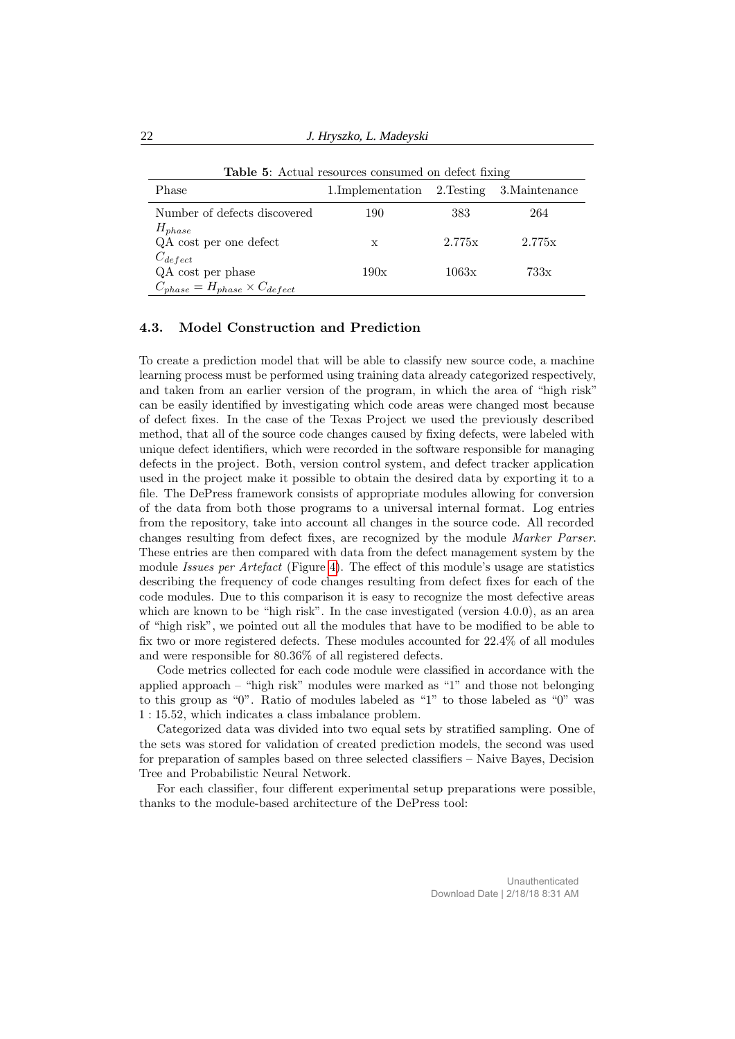| <b>Table 5:</b> Actual resources consumed on defect fixing |        |                            |  |  |  |
|------------------------------------------------------------|--------|----------------------------|--|--|--|
|                                                            |        | 3. Maintenance             |  |  |  |
| 190                                                        | 383    | 264                        |  |  |  |
|                                                            |        |                            |  |  |  |
| X                                                          | 2.775x | 2.775x                     |  |  |  |
|                                                            |        |                            |  |  |  |
| 190x                                                       | 1063x  | 733x                       |  |  |  |
|                                                            |        |                            |  |  |  |
|                                                            |        | 1.Implementation 2.Testing |  |  |  |

<span id="page-15-0"></span>Table 5: Actual resources consumed on defect fixing

# 4.3. Model Construction and Prediction

To create a prediction model that will be able to classify new source code, a machine learning process must be performed using training data already categorized respectively, and taken from an earlier version of the program, in which the area of "high risk" can be easily identified by investigating which code areas were changed most because of defect fixes. In the case of the Texas Project we used the previously described method, that all of the source code changes caused by fixing defects, were labeled with unique defect identifiers, which were recorded in the software responsible for managing defects in the project. Both, version control system, and defect tracker application used in the project make it possible to obtain the desired data by exporting it to a file. The DePress framework consists of appropriate modules allowing for conversion of the data from both those programs to a universal internal format. Log entries from the repository, take into account all changes in the source code. All recorded changes resulting from defect fixes, are recognized by the module Marker Parser. These entries are then compared with data from the defect management system by the module *Issues per Artefact* (Figure [4\)](#page-16-0). The effect of this module's usage are statistics describing the frequency of code changes resulting from defect fixes for each of the code modules. Due to this comparison it is easy to recognize the most defective areas which are known to be "high risk". In the case investigated (version 4.0.0), as an area of "high risk", we pointed out all the modules that have to be modified to be able to fix two or more registered defects. These modules accounted for 22.4% of all modules and were responsible for 80.36% of all registered defects.

Code metrics collected for each code module were classified in accordance with the applied approach – "high risk" modules were marked as "1" and those not belonging to this group as "0". Ratio of modules labeled as "1" to those labeled as "0" was 1 : 15.52, which indicates a class imbalance problem.

Categorized data was divided into two equal sets by stratified sampling. One of the sets was stored for validation of created prediction models, the second was used for preparation of samples based on three selected classifiers – Naive Bayes, Decision Tree and Probabilistic Neural Network.

For each classifier, four different experimental setup preparations were possible, thanks to the module-based architecture of the DePress tool: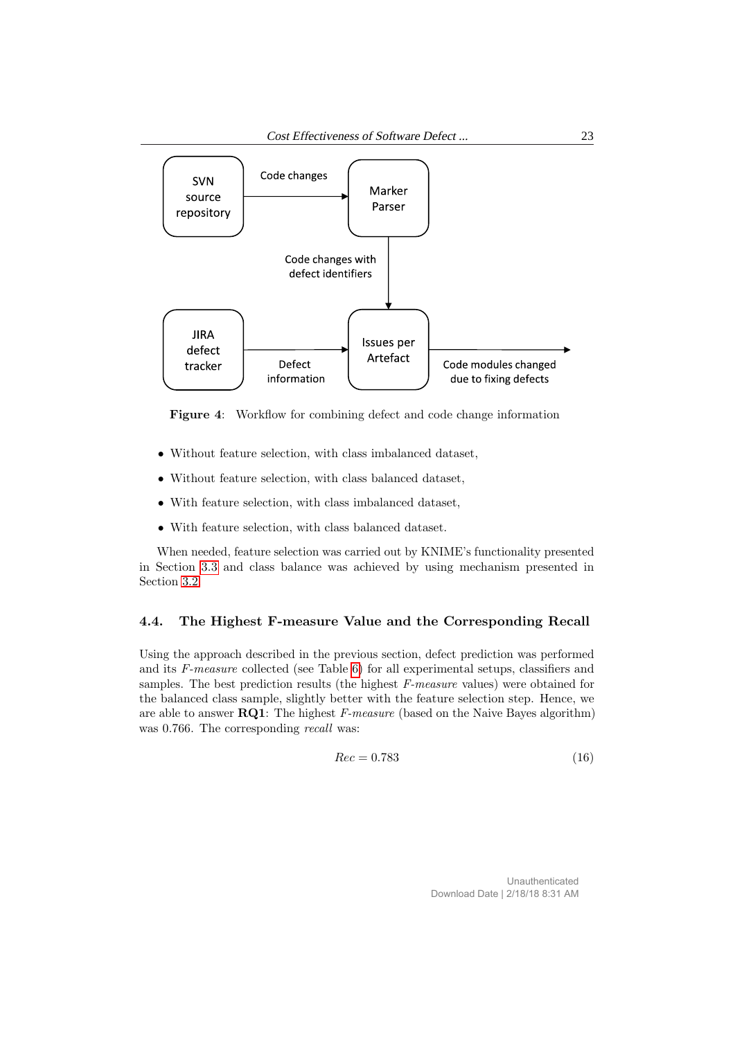

<span id="page-16-0"></span>Figure 4: Workflow for combining defect and code change information

- Without feature selection, with class imbalanced dataset,
- Without feature selection, with class balanced dataset,
- With feature selection, with class imbalanced dataset,
- With feature selection, with class balanced dataset.

When needed, feature selection was carried out by KNIME's functionality presented in Section [3.3](#page-9-1) and class balance was achieved by using mechanism presented in Section [3.2.](#page-8-1)

## <span id="page-16-2"></span>4.4. The Highest F-measure Value and the Corresponding Recall

<span id="page-16-3"></span>Using the approach described in the previous section, defect prediction was performed and its F-measure collected (see Table [6\)](#page-17-0) for all experimental setups, classifiers and samples. The best prediction results (the highest F-measure values) were obtained for the balanced class sample, slightly better with the feature selection step. Hence, we are able to answer  $\textbf{RQ1}$ : The highest F-measure (based on the Naive Bayes algorithm) was 0.766. The corresponding *recall* was:

<span id="page-16-1"></span>
$$
Rec = 0.783\tag{16}
$$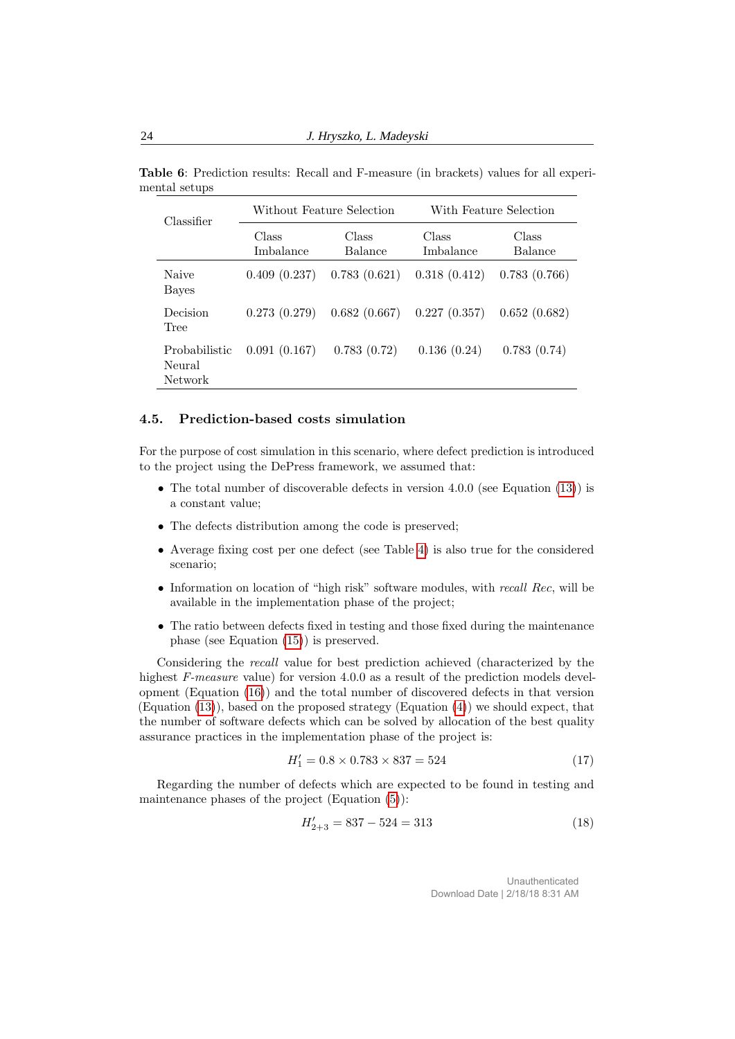| Classifier                                |                    | Without Feature Selection | With Feature Selection |                  |  |  |
|-------------------------------------------|--------------------|---------------------------|------------------------|------------------|--|--|
|                                           | Class<br>Imbalance | Class<br>Balance          | Class<br>Imbalance     | Class<br>Balance |  |  |
| Naive<br>Bayes                            | 0.409(0.237)       | 0.783(0.621)              | 0.318(0.412)           | 0.783(0.766)     |  |  |
| Decision<br>Tree                          | 0.273(0.279)       | 0.682(0.667)              | 0.227(0.357)           | 0.652(0.682)     |  |  |
| Probabilistic<br>Neural<br><b>Network</b> | 0.091(0.167)       | 0.783(0.72)               | 0.136(0.24)            | 0.783(0.74)      |  |  |

<span id="page-17-0"></span>

|               | <b>Table 6:</b> Prediction results: Recall and F-measure (in brackets) values for all experi- |  |  |  |  |  |
|---------------|-----------------------------------------------------------------------------------------------|--|--|--|--|--|
| mental setups |                                                                                               |  |  |  |  |  |

# 4.5. Prediction-based costs simulation

For the purpose of cost simulation in this scenario, where defect prediction is introduced to the project using the DePress framework, we assumed that:

- The total number of discoverable defects in version  $4.0.0$  (see Equation  $(13)$ ) is a constant value;
- The defects distribution among the code is preserved;
- Average fixing cost per one defect (see Table [4\)](#page-14-0) is also true for the considered scenario;
- Information on location of "high risk" software modules, with *recall Rec*, will be available in the implementation phase of the project;
- The ratio between defects fixed in testing and those fixed during the maintenance phase (see Equation [\(15\)](#page-14-2)) is preserved.

Considering the recall value for best prediction achieved (characterized by the highest F-measure value) for version 4.0.0 as a result of the prediction models development (Equation [\(16\)](#page-16-1)) and the total number of discovered defects in that version (Equation [\(13\)](#page-14-1)), based on the proposed strategy (Equation [\(4\)](#page-13-0)) we should expect, that the number of software defects which can be solved by allocation of the best quality assurance practices in the implementation phase of the project is:

<span id="page-17-1"></span>
$$
H_1' = 0.8 \times 0.783 \times 837 = 524 \tag{17}
$$

Regarding the number of defects which are expected to be found in testing and maintenance phases of the project (Equation [\(5\)](#page-13-1)):

$$
H'_{2+3} = 837 - 524 = 313\tag{18}
$$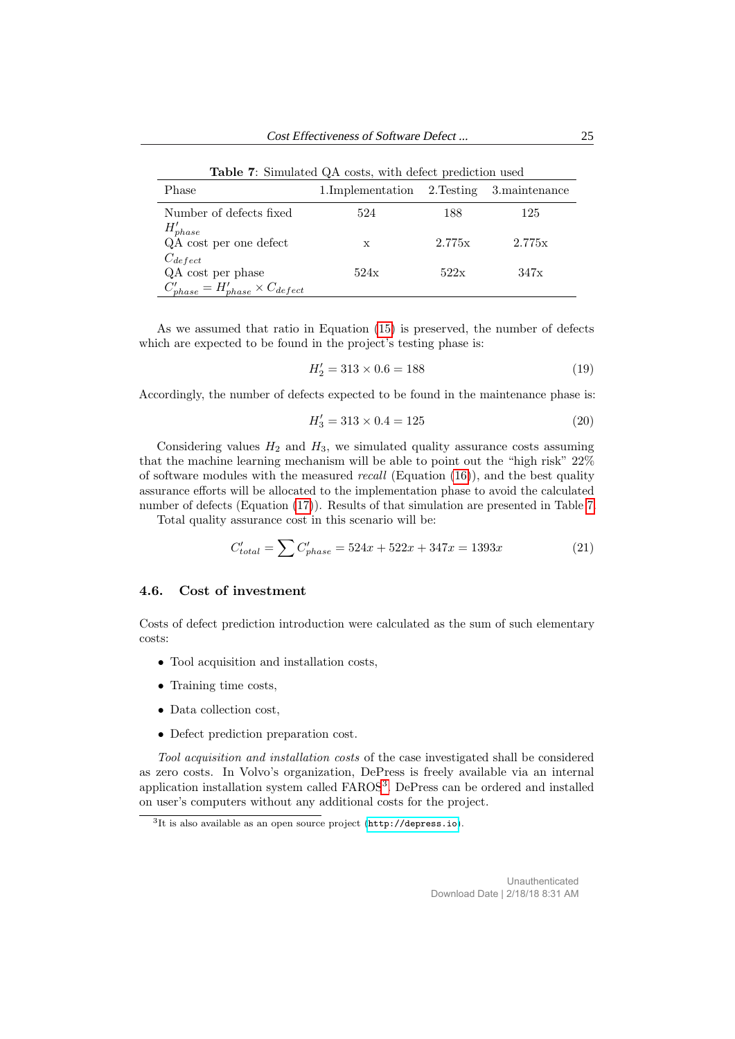| <b>Table 7:</b> Simulated QA costs, with defect prediction used |                             |        |                |  |  |
|-----------------------------------------------------------------|-----------------------------|--------|----------------|--|--|
| Phase                                                           | 1.Implementation 2. Testing |        | 3. maintenance |  |  |
| Number of defects fixed<br>$H'_{phase}$                         | 524                         | 188    | 125            |  |  |
| QA cost per one defect<br>$C_{defect}$                          | X                           | 2.775x | 2.775x         |  |  |
| QA cost per phase                                               | 524x                        | 522x   | 347x           |  |  |
| $C'_{phase} = H'_{phase} \times C_{defect}$                     |                             |        |                |  |  |

<span id="page-18-0"></span>Table 7: Simulated QA costs, with defect prediction used

As we assumed that ratio in Equation [\(15\)](#page-14-2) is preserved, the number of defects which are expected to be found in the project's testing phase is:

$$
H_2' = 313 \times 0.6 = 188\tag{19}
$$

Accordingly, the number of defects expected to be found in the maintenance phase is:

$$
H_3' = 313 \times 0.4 = 125\tag{20}
$$

Considering values  $H_2$  and  $H_3$ , we simulated quality assurance costs assuming that the machine learning mechanism will be able to point out the "high risk" 22% of software modules with the measured *recall* (Equation  $(16)$ ), and the best quality assurance efforts will be allocated to the implementation phase to avoid the calculated number of defects (Equation [\(17\)](#page-17-1)). Results of that simulation are presented in Table [7.](#page-18-0)

Total quality assurance cost in this scenario will be:

$$
C'_{total} = \sum C'_{phase} = 524x + 522x + 347x = 1393x \tag{21}
$$

## 4.6. Cost of investment

Costs of defect prediction introduction were calculated as the sum of such elementary costs:

- Tool acquisition and installation costs,
- Training time costs,
- Data collection cost,
- Defect prediction preparation cost.

Tool acquisition and installation costs of the case investigated shall be considered as zero costs. In Volvo's organization, DePress is freely available via an internal application installation system called FAROS<sup>[3](#page-18-1)</sup>. DePress can be ordered and installed on user's computers without any additional costs for the project.

<span id="page-18-1"></span> ${}^{3}$ It is also available as an open source project (<http://depress.io>).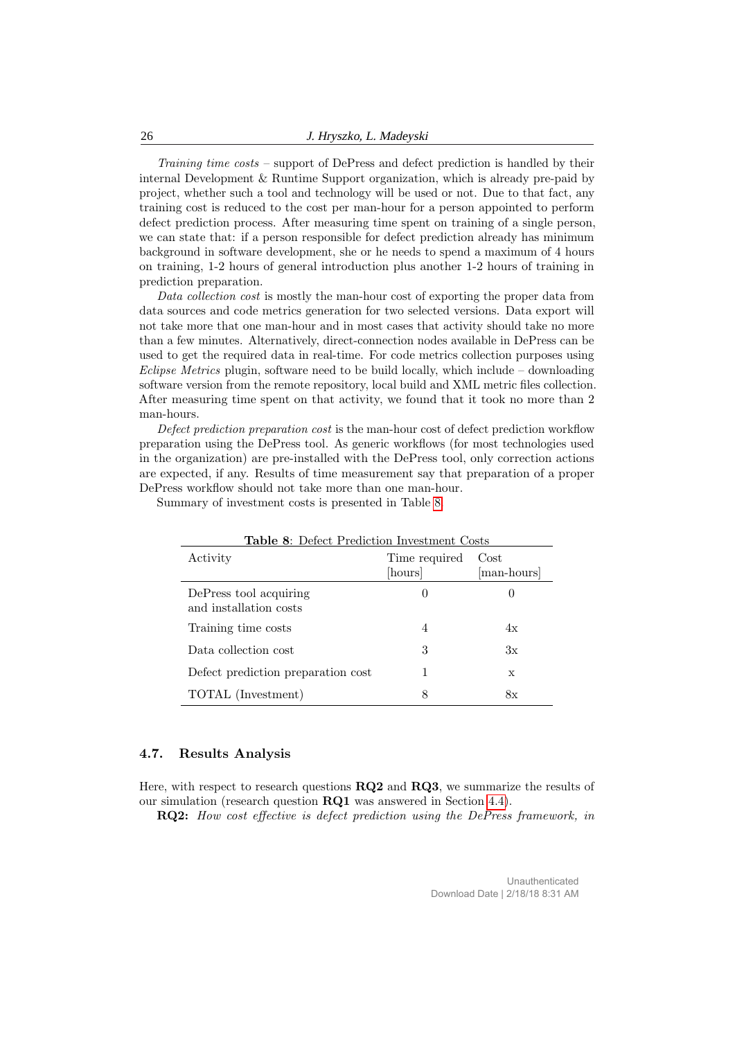Training time costs – support of DePress and defect prediction is handled by their internal Development & Runtime Support organization, which is already pre-paid by project, whether such a tool and technology will be used or not. Due to that fact, any training cost is reduced to the cost per man-hour for a person appointed to perform defect prediction process. After measuring time spent on training of a single person, we can state that: if a person responsible for defect prediction already has minimum background in software development, she or he needs to spend a maximum of 4 hours on training, 1-2 hours of general introduction plus another 1-2 hours of training in prediction preparation.

Data collection cost is mostly the man-hour cost of exporting the proper data from data sources and code metrics generation for two selected versions. Data export will not take more that one man-hour and in most cases that activity should take no more than a few minutes. Alternatively, direct-connection nodes available in DePress can be used to get the required data in real-time. For code metrics collection purposes using *Eclipse Metrics* plugin, software need to be build locally, which include  $-\text{downloading}$ software version from the remote repository, local build and XML metric files collection. After measuring time spent on that activity, we found that it took no more than 2 man-hours.

Defect prediction preparation cost is the man-hour cost of defect prediction workflow preparation using the DePress tool. As generic workflows (for most technologies used in the organization) are pre-installed with the DePress tool, only correction actions are expected, if any. Results of time measurement say that preparation of a proper DePress workflow should not take more than one man-hour.

<span id="page-19-0"></span>

| <b>Table 8:</b> Defect Prediction Investment Costs |               |           |  |  |
|----------------------------------------------------|---------------|-----------|--|--|
| Activity                                           | Time required | Cost      |  |  |
|                                                    | hours         | man-hours |  |  |
| DePress tool acquiring<br>and installation costs   | $\theta$      | 0         |  |  |
| Training time costs                                | 4             | 4x        |  |  |
| Data collection cost                               | 3             | 3x        |  |  |
| Defect prediction preparation cost                 |               | X         |  |  |
| TOTAL (Investment)                                 | 8             | 8x        |  |  |

Summary of investment costs is presented in Table [8.](#page-19-0)

# 4.7. Results Analysis

Here, with respect to research questions  $\bf RQ2$  and  $\bf RQ3$ , we summarize the results of our simulation (research question RQ1 was answered in Section [4.4\)](#page-16-2).

RQ2: How cost effective is defect prediction using the DePress framework, in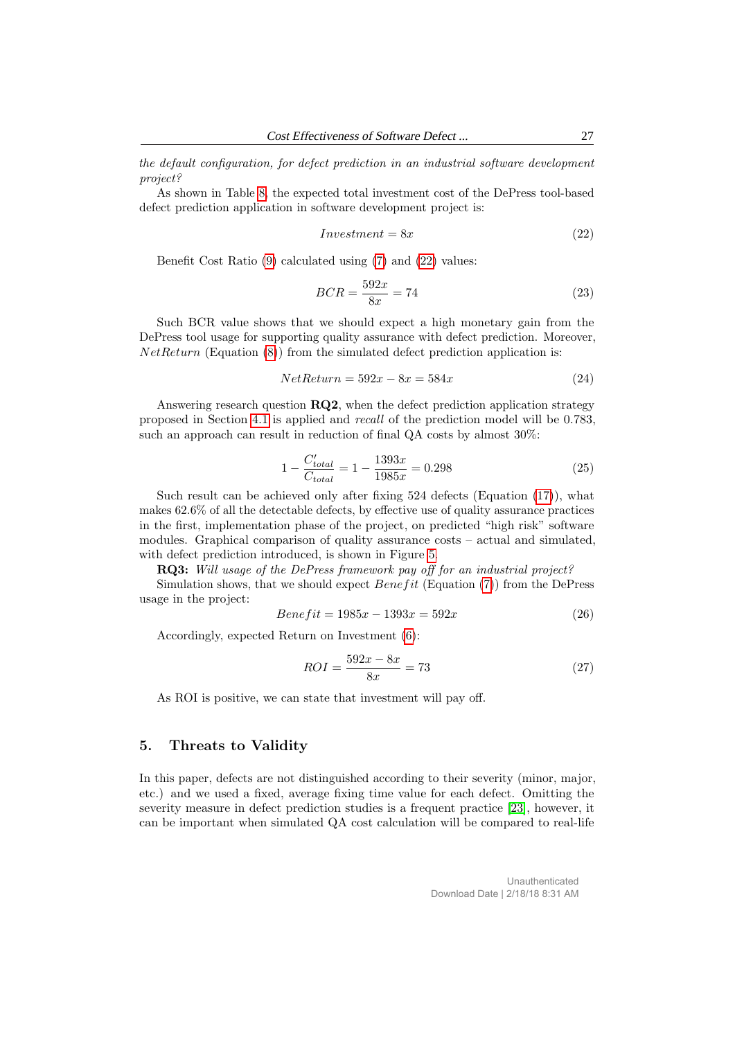the default configuration, for defect prediction in an industrial software development project?

As shown in Table [8,](#page-19-0) the expected total investment cost of the DePress tool-based defect prediction application in software development project is:

<span id="page-20-1"></span>
$$
Investment = 8x \tag{22}
$$

Benefit Cost Ratio [\(9\)](#page-13-2) calculated using [\(7\)](#page-13-3) and [\(22\)](#page-20-1) values:

$$
BCR = \frac{592x}{8x} = 74\tag{23}
$$

Such BCR value shows that we should expect a high monetary gain from the DePress tool usage for supporting quality assurance with defect prediction. Moreover,  $NetReturn$  (Equation  $(8)$ ) from the simulated defect prediction application is:

$$
NetReturn = 592x - 8x = 584x \tag{24}
$$

Answering research question  $RQ2$ , when the defect prediction application strategy proposed in Section [4.1](#page-12-0) is applied and recall of the prediction model will be 0.783, such an approach can result in reduction of final QA costs by almost 30%:

$$
1 - \frac{C'_{total}}{C_{total}} = 1 - \frac{1393x}{1985x} = 0.298
$$
 (25)

Such result can be achieved only after fixing 524 defects (Equation [\(17\)](#page-17-1)), what makes 62.6% of all the detectable defects, by effective use of quality assurance practices in the first, implementation phase of the project, on predicted "high risk" software modules. Graphical comparison of quality assurance costs – actual and simulated, with defect prediction introduced, is shown in Figure [5.](#page-21-0)

**RQ3:** Will usage of the DePress framework pay off for an industrial project?

Simulation shows, that we should expect  $Benefit$  (Equation [\(7\)](#page-13-3)) from the DePress usage in the project:

$$
Benefit = 1985x - 1393x = 592x \tag{26}
$$

Accordingly, expected Return on Investment [\(6\)](#page-13-5):

$$
ROI = \frac{592x - 8x}{8x} = 73\tag{27}
$$

<span id="page-20-0"></span>As ROI is positive, we can state that investment will pay off.

# 5. Threats to Validity

In this paper, defects are not distinguished according to their severity (minor, major, etc.) and we used a fixed, average fixing time value for each defect. Omitting the severity measure in defect prediction studies is a frequent practice [\[23\]](#page-26-12), however, it can be important when simulated QA cost calculation will be compared to real-life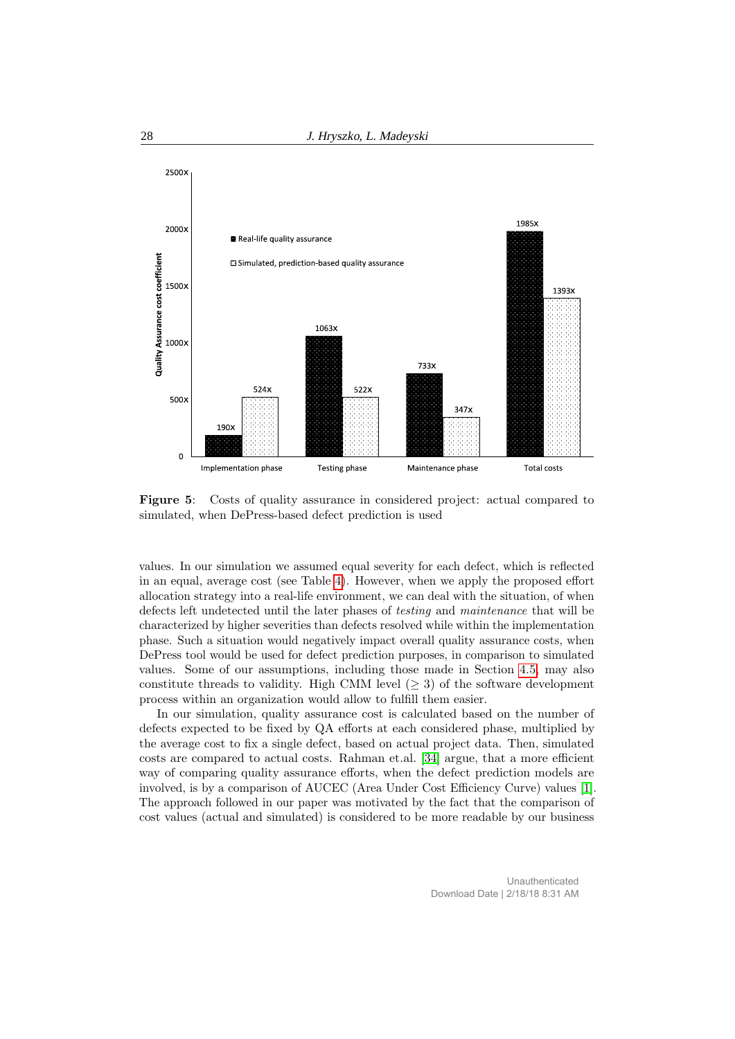

<span id="page-21-0"></span>Figure 5: Costs of quality assurance in considered project: actual compared to simulated, when DePress-based defect prediction is used

values. In our simulation we assumed equal severity for each defect, which is reflected in an equal, average cost (see Table [4\)](#page-14-0). However, when we apply the proposed effort allocation strategy into a real-life environment, we can deal with the situation, of when defects left undetected until the later phases of testing and maintenance that will be characterized by higher severities than defects resolved while within the implementation phase. Such a situation would negatively impact overall quality assurance costs, when DePress tool would be used for defect prediction purposes, in comparison to simulated values. Some of our assumptions, including those made in Section [4.5,](#page-16-3) may also constitute threads to validity. High CMM level ( $\geq$  3) of the software development process within an organization would allow to fulfill them easier.

In our simulation, quality assurance cost is calculated based on the number of defects expected to be fixed by QA efforts at each considered phase, multiplied by the average cost to fix a single defect, based on actual project data. Then, simulated costs are compared to actual costs. Rahman et.al. [\[34\]](#page-26-13) argue, that a more efficient way of comparing quality assurance efforts, when the defect prediction models are involved, is by a comparison of AUCEC (Area Under Cost Efficiency Curve) values [\[1\]](#page-24-8). The approach followed in our paper was motivated by the fact that the comparison of cost values (actual and simulated) is considered to be more readable by our business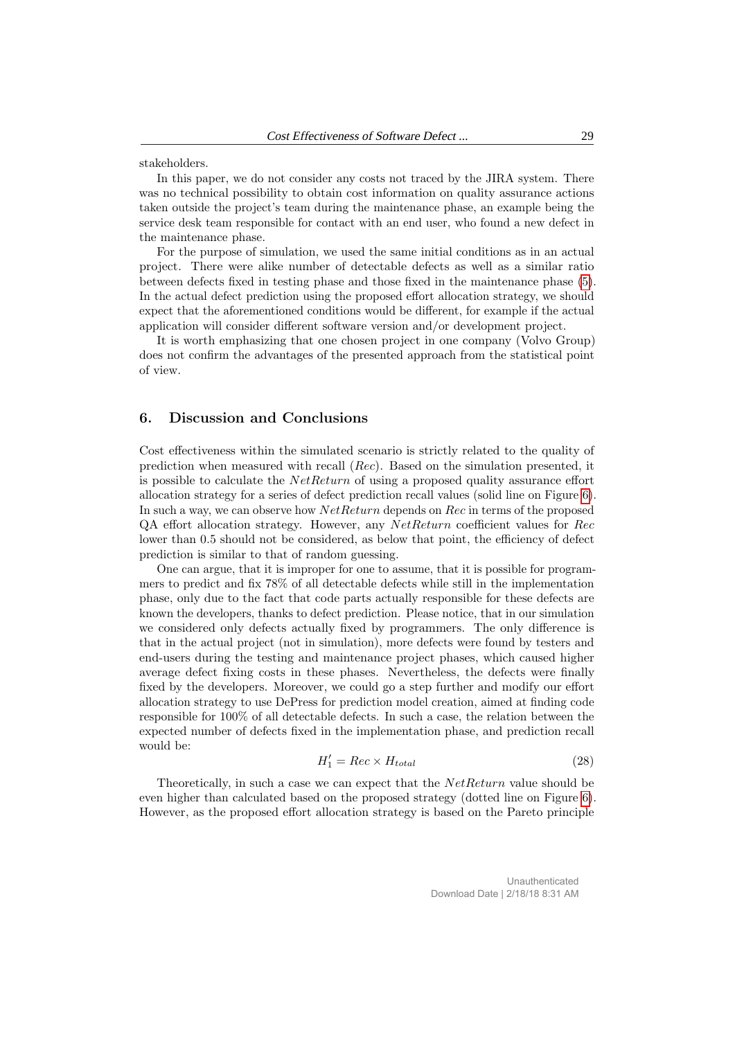stakeholders.

In this paper, we do not consider any costs not traced by the JIRA system. There was no technical possibility to obtain cost information on quality assurance actions taken outside the project's team during the maintenance phase, an example being the service desk team responsible for contact with an end user, who found a new defect in the maintenance phase.

For the purpose of simulation, we used the same initial conditions as in an actual project. There were alike number of detectable defects as well as a similar ratio between defects fixed in testing phase and those fixed in the maintenance phase [\(5\)](#page-13-1). In the actual defect prediction using the proposed effort allocation strategy, we should expect that the aforementioned conditions would be different, for example if the actual application will consider different software version and/or development project.

<span id="page-22-0"></span>It is worth emphasizing that one chosen project in one company (Volvo Group) does not confirm the advantages of the presented approach from the statistical point of view.

# 6. Discussion and Conclusions

Cost effectiveness within the simulated scenario is strictly related to the quality of prediction when measured with recall (Rec). Based on the simulation presented, it is possible to calculate the *NetReturn* of using a proposed quality assurance effort allocation strategy for a series of defect prediction recall values (solid line on Figure [6\)](#page-23-0). In such a way, we can observe how  $NetReturn$  depends on  $Rec$  in terms of the proposed QA effort allocation strategy. However, any NetReturn coefficient values for Rec lower than 0.5 should not be considered, as below that point, the efficiency of defect prediction is similar to that of random guessing.

One can argue, that it is improper for one to assume, that it is possible for programmers to predict and fix 78% of all detectable defects while still in the implementation phase, only due to the fact that code parts actually responsible for these defects are known the developers, thanks to defect prediction. Please notice, that in our simulation we considered only defects actually fixed by programmers. The only difference is that in the actual project (not in simulation), more defects were found by testers and end-users during the testing and maintenance project phases, which caused higher average defect fixing costs in these phases. Nevertheless, the defects were finally fixed by the developers. Moreover, we could go a step further and modify our effort allocation strategy to use DePress for prediction model creation, aimed at finding code responsible for 100% of all detectable defects. In such a case, the relation between the expected number of defects fixed in the implementation phase, and prediction recall would be:

$$
H_1' = Rec \times H_{total} \tag{28}
$$

Theoretically, in such a case we can expect that the  $NetReturn$  value should be even higher than calculated based on the proposed strategy (dotted line on Figure [6\)](#page-23-0). However, as the proposed effort allocation strategy is based on the Pareto principle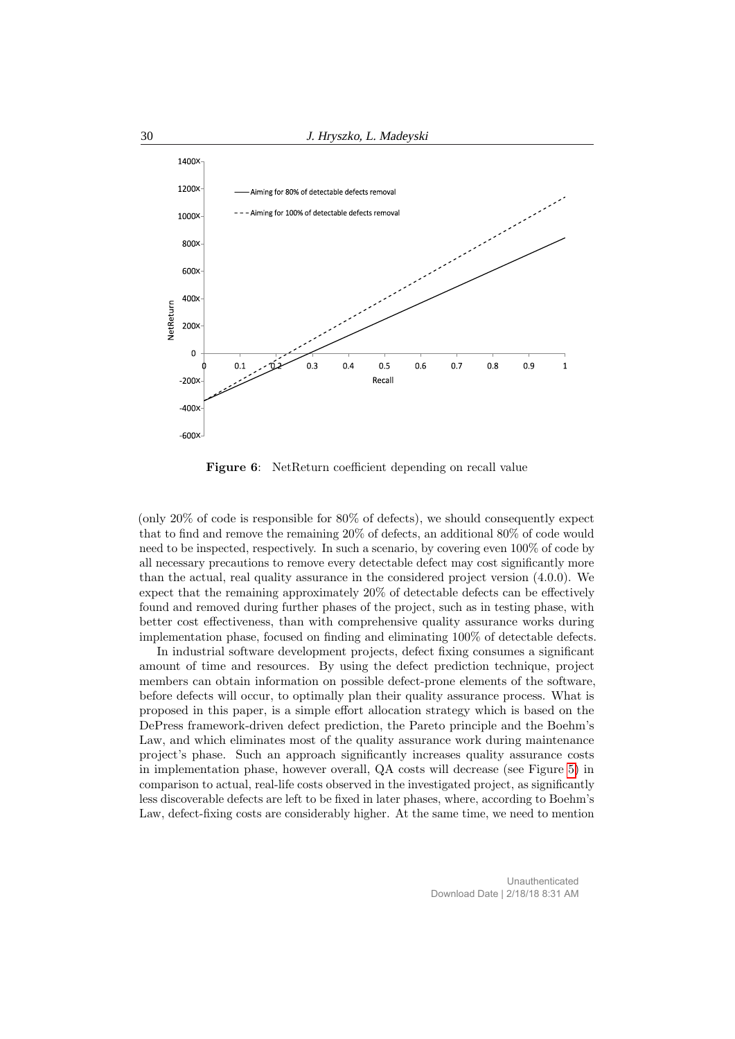

<span id="page-23-0"></span>Figure 6: NetReturn coefficient depending on recall value

(only 20% of code is responsible for 80% of defects), we should consequently expect that to find and remove the remaining 20% of defects, an additional 80% of code would need to be inspected, respectively. In such a scenario, by covering even 100% of code by all necessary precautions to remove every detectable defect may cost significantly more than the actual, real quality assurance in the considered project version (4.0.0). We expect that the remaining approximately 20% of detectable defects can be effectively found and removed during further phases of the project, such as in testing phase, with better cost effectiveness, than with comprehensive quality assurance works during implementation phase, focused on finding and eliminating 100% of detectable defects.

In industrial software development projects, defect fixing consumes a significant amount of time and resources. By using the defect prediction technique, project members can obtain information on possible defect-prone elements of the software, before defects will occur, to optimally plan their quality assurance process. What is proposed in this paper, is a simple effort allocation strategy which is based on the DePress framework-driven defect prediction, the Pareto principle and the Boehm's Law, and which eliminates most of the quality assurance work during maintenance project's phase. Such an approach significantly increases quality assurance costs in implementation phase, however overall, QA costs will decrease (see Figure [5\)](#page-21-0) in comparison to actual, real-life costs observed in the investigated project, as significantly less discoverable defects are left to be fixed in later phases, where, according to Boehm's Law, defect-fixing costs are considerably higher. At the same time, we need to mention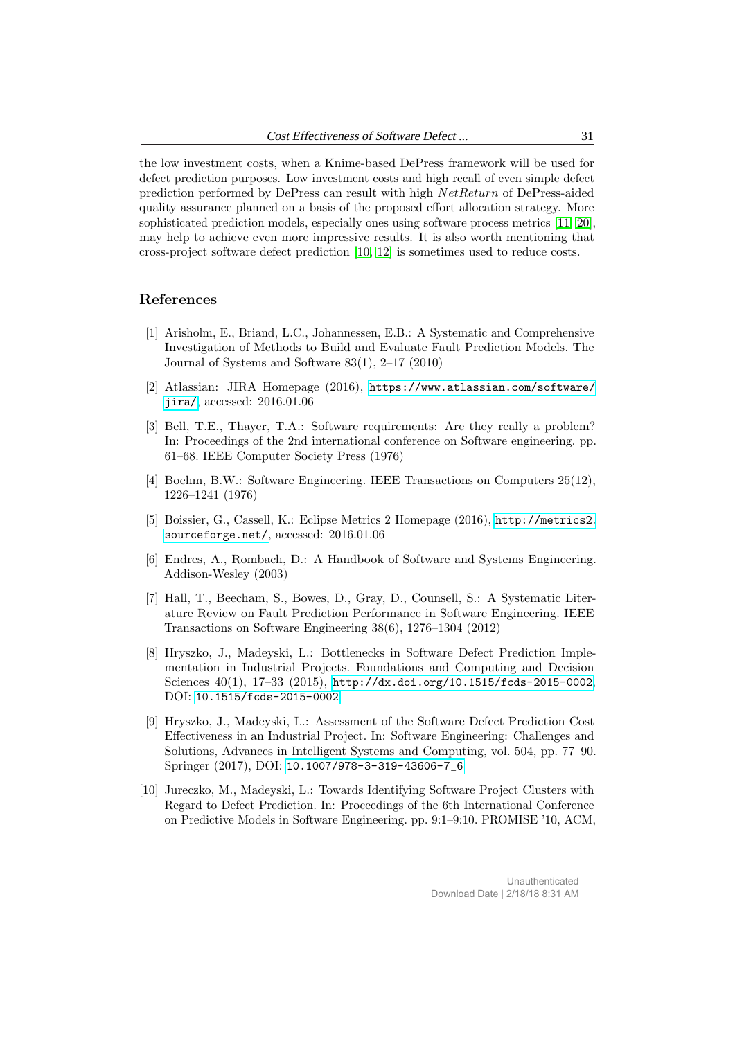the low investment costs, when a Knime-based DePress framework will be used for defect prediction purposes. Low investment costs and high recall of even simple defect prediction performed by DePress can result with high NetReturn of DePress-aided quality assurance planned on a basis of the proposed effort allocation strategy. More sophisticated prediction models, especially ones using software process metrics [\[11,](#page-25-8) [20\]](#page-25-9), may help to achieve even more impressive results. It is also worth mentioning that cross-project software defect prediction [\[10,](#page-24-9) [12\]](#page-25-10) is sometimes used to reduce costs.

# References

- <span id="page-24-8"></span>[1] Arisholm, E., Briand, L.C., Johannessen, E.B.: A Systematic and Comprehensive Investigation of Methods to Build and Evaluate Fault Prediction Models. The Journal of Systems and Software 83(1), 2–17 (2010)
- <span id="page-24-4"></span>[2] Atlassian: JIRA Homepage (2016), [https://www.atlassian.com/software/](https://www.atlassian.com/software/jira/) [jira/](https://www.atlassian.com/software/jira/), accessed: 2016.01.06
- <span id="page-24-2"></span>[3] Bell, T.E., Thayer, T.A.: Software requirements: Are they really a problem? In: Proceedings of the 2nd international conference on Software engineering. pp. 61–68. IEEE Computer Society Press (1976)
- <span id="page-24-7"></span>[4] Boehm, B.W.: Software Engineering. IEEE Transactions on Computers 25(12), 1226–1241 (1976)
- <span id="page-24-3"></span>[5] Boissier, G., Cassell, K.: Eclipse Metrics 2 Homepage (2016), [http://metrics2.](http://metrics2.sourceforge.net/) [sourceforge.net/](http://metrics2.sourceforge.net/), accessed:  $2016.01.06$
- <span id="page-24-6"></span>[6] Endres, A., Rombach, D.: A Handbook of Software and Systems Engineering. Addison-Wesley (2003)
- <span id="page-24-5"></span>[7] Hall, T., Beecham, S., Bowes, D., Gray, D., Counsell, S.: A Systematic Literature Review on Fault Prediction Performance in Software Engineering. IEEE Transactions on Software Engineering 38(6), 1276–1304 (2012)
- <span id="page-24-1"></span>[8] Hryszko, J., Madeyski, L.: Bottlenecks in Software Defect Prediction Implementation in Industrial Projects. Foundations and Computing and Decision Sciences 40(1), 17–33 (2015), <http://dx.doi.org/10.1515/fcds-2015-0002>, DOI: [10.1515/fcds-2015-0002](http://dx.doi.org/10.1515/fcds-2015-0002)
- <span id="page-24-0"></span>[9] Hryszko, J., Madeyski, L.: Assessment of the Software Defect Prediction Cost Effectiveness in an Industrial Project. In: Software Engineering: Challenges and Solutions, Advances in Intelligent Systems and Computing, vol. 504, pp. 77–90. Springer (2017), DOI: [10.1007/978-3-319-43606-7\\_6](http://dx.doi.org/10.1007/978-3-319-43606-7_6)
- <span id="page-24-9"></span>[10] Jureczko, M., Madeyski, L.: Towards Identifying Software Project Clusters with Regard to Defect Prediction. In: Proceedings of the 6th International Conference on Predictive Models in Software Engineering. pp. 9:1–9:10. PROMISE '10, ACM,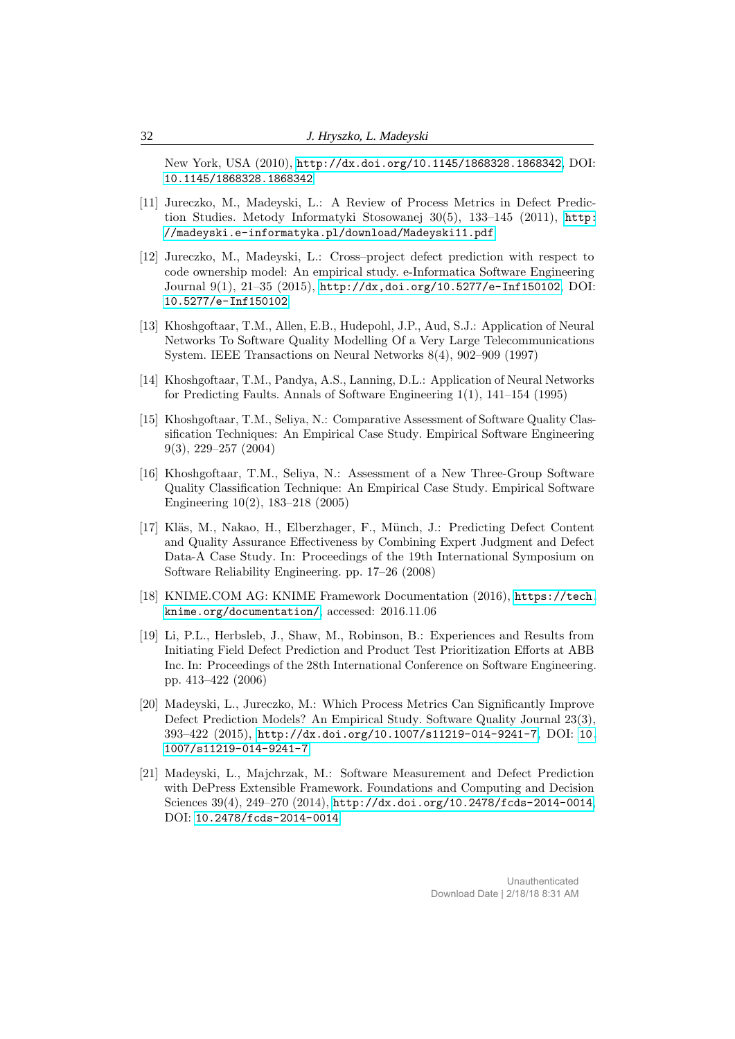New York, USA (2010), <http://dx.doi.org/10.1145/1868328.1868342>, DOI: [10.1145/1868328.1868342](http://dx.doi.org/10.1145/1868328.1868342)

- <span id="page-25-8"></span>[11] Jureczko, M., Madeyski, L.: A Review of Process Metrics in Defect Prediction Studies. Metody Informatyki Stosowanej 30(5), 133–145 (2011), [http:](http://madeyski.e-informatyka.pl/download/Madeyski11.pdf) [//madeyski.e-informatyka.pl/download/Madeyski11.pdf](http://madeyski.e-informatyka.pl/download/Madeyski11.pdf)
- <span id="page-25-10"></span>[12] Jureczko, M., Madeyski, L.: Cross–project defect prediction with respect to code ownership model: An empirical study. e-Informatica Software Engineering Journal 9(1), 21–35 (2015), <http://dx,doi.org/10.5277/e-Inf150102>, DOI: [10.5277/e-Inf150102](http://dx.doi.org/10.5277/e-Inf150102)
- <span id="page-25-2"></span>[13] Khoshgoftaar, T.M., Allen, E.B., Hudepohl, J.P., Aud, S.J.: Application of Neural Networks To Software Quality Modelling Of a Very Large Telecommunications System. IEEE Transactions on Neural Networks 8(4), 902–909 (1997)
- <span id="page-25-7"></span>[14] Khoshgoftaar, T.M., Pandya, A.S., Lanning, D.L.: Application of Neural Networks for Predicting Faults. Annals of Software Engineering 1(1), 141–154 (1995)
- <span id="page-25-3"></span>[15] Khoshgoftaar, T.M., Seliya, N.: Comparative Assessment of Software Quality Classification Techniques: An Empirical Case Study. Empirical Software Engineering 9(3), 229–257 (2004)
- <span id="page-25-4"></span>[16] Khoshgoftaar, T.M., Seliya, N.: Assessment of a New Three-Group Software Quality Classification Technique: An Empirical Case Study. Empirical Software Engineering 10(2), 183–218 (2005)
- <span id="page-25-5"></span>[17] Kläs, M., Nakao, H., Elberzhager, F., Münch, J.: Predicting Defect Content and Quality Assurance Effectiveness by Combining Expert Judgment and Defect Data-A Case Study. In: Proceedings of the 19th International Symposium on Software Reliability Engineering. pp. 17–26 (2008)
- <span id="page-25-1"></span>[18] KNIME.COM AG: KNIME Framework Documentation (2016), [https://tech.](https://tech.knime.org/documentation/) [knime.org/documentation/](https://tech.knime.org/documentation/), accessed: 2016.11.06
- <span id="page-25-6"></span>[19] Li, P.L., Herbsleb, J., Shaw, M., Robinson, B.: Experiences and Results from Initiating Field Defect Prediction and Product Test Prioritization Efforts at ABB Inc. In: Proceedings of the 28th International Conference on Software Engineering. pp. 413–422 (2006)
- <span id="page-25-9"></span>[20] Madeyski, L., Jureczko, M.: Which Process Metrics Can Significantly Improve Defect Prediction Models? An Empirical Study. Software Quality Journal 23(3), 393–422 (2015), <http://dx.doi.org/10.1007/s11219-014-9241-7>, DOI: [10.](http://dx.doi.org/10.1007/s11219-014-9241-7) [1007/s11219-014-9241-7](http://dx.doi.org/10.1007/s11219-014-9241-7)
- <span id="page-25-0"></span>[21] Madeyski, L., Majchrzak, M.: Software Measurement and Defect Prediction with DePress Extensible Framework. Foundations and Computing and Decision Sciences 39(4), 249–270 (2014), <http://dx.doi.org/10.2478/fcds-2014-0014>, DOI: [10.2478/fcds-2014-0014](http://dx.doi.org/10.2478/fcds-2014-0014)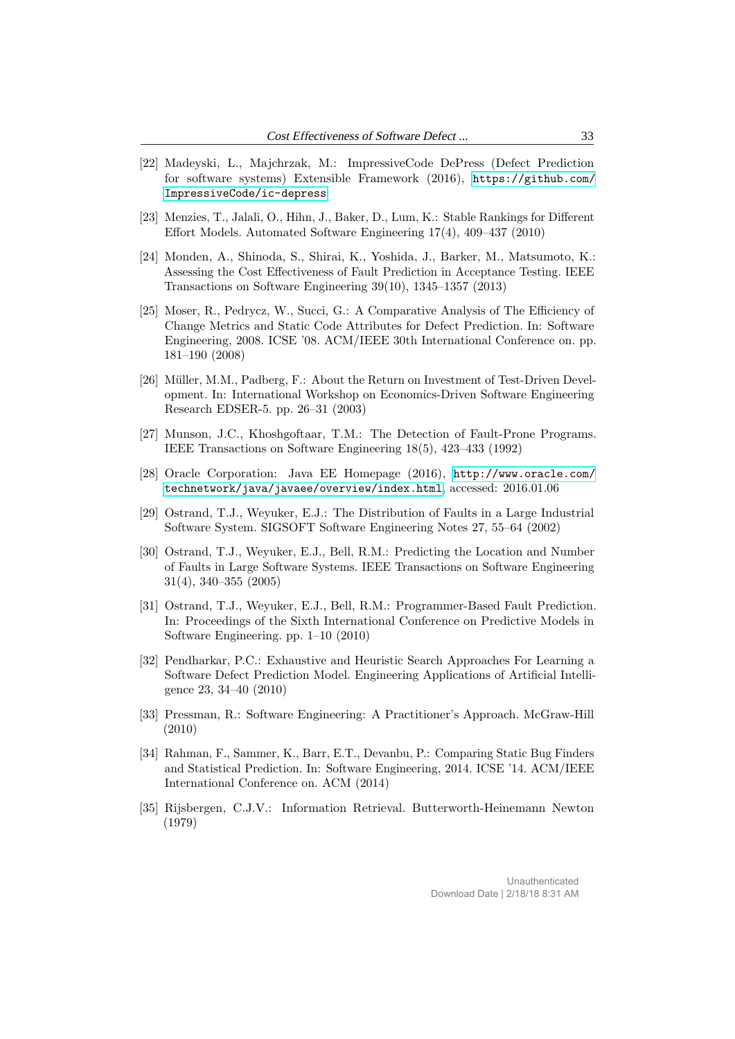- <span id="page-26-1"></span>[22] Madeyski, L., Majchrzak, M.: ImpressiveCode DePress (Defect Prediction for software systems) Extensible Framework (2016), [https://github.com/](https://github.com/ImpressiveCode/ic-depress) [ImpressiveCode/ic-depress](https://github.com/ImpressiveCode/ic-depress)
- <span id="page-26-12"></span>[23] Menzies, T., Jalali, O., Hihn, J., Baker, D., Lum, K.: Stable Rankings for Different Effort Models. Automated Software Engineering 17(4), 409–437 (2010)
- <span id="page-26-8"></span>[24] Monden, A., Shinoda, S., Shirai, K., Yoshida, J., Barker, M., Matsumoto, K.: Assessing the Cost Effectiveness of Fault Prediction in Acceptance Testing. IEEE Transactions on Software Engineering 39(10), 1345–1357 (2013)
- <span id="page-26-10"></span>[25] Moser, R., Pedrycz, W., Succi, G.: A Comparative Analysis of The Efficiency of Change Metrics and Static Code Attributes for Defect Prediction. In: Software Engineering, 2008. ICSE '08. ACM/IEEE 30th International Conference on. pp. 181–190 (2008)
- <span id="page-26-3"></span>[26] Müller, M.M., Padberg, F.: About the Return on Investment of Test-Driven Development. In: International Workshop on Economics-Driven Software Engineering Research EDSER-5. pp. 26–31 (2003)
- <span id="page-26-0"></span>[27] Munson, J.C., Khoshgoftaar, T.M.: The Detection of Fault-Prone Programs. IEEE Transactions on Software Engineering 18(5), 423–433 (1992)
- <span id="page-26-4"></span>[28] Oracle Corporation: Java EE Homepage (2016), [http://www.oracle.com/](http://www.oracle.com/technetwork/java/javaee/overview/index.html) [technetwork/java/javaee/overview/index.html](http://www.oracle.com/technetwork/java/javaee/overview/index.html), accessed: 2016.01.06
- <span id="page-26-5"></span>[29] Ostrand, T.J., Weyuker, E.J.: The Distribution of Faults in a Large Industrial Software System. SIGSOFT Software Engineering Notes 27, 55–64 (2002)
- <span id="page-26-7"></span>[30] Ostrand, T.J., Weyuker, E.J., Bell, R.M.: Predicting the Location and Number of Faults in Large Software Systems. IEEE Transactions on Software Engineering 31(4), 340–355 (2005)
- <span id="page-26-6"></span>[31] Ostrand, T.J., Weyuker, E.J., Bell, R.M.: Programmer-Based Fault Prediction. In: Proceedings of the Sixth International Conference on Predictive Models in Software Engineering. pp. 1–10 (2010)
- <span id="page-26-9"></span>[32] Pendharkar, P.C.: Exhaustive and Heuristic Search Approaches For Learning a Software Defect Prediction Model. Engineering Applications of Artificial Intelligence 23, 34–40 (2010)
- <span id="page-26-11"></span>[33] Pressman, R.: Software Engineering: A Practitioner's Approach. McGraw-Hill (2010)
- <span id="page-26-13"></span>[34] Rahman, F., Sammer, K., Barr, E.T., Devanbu, P.: Comparing Static Bug Finders and Statistical Prediction. In: Software Engineering, 2014. ICSE '14. ACM/IEEE International Conference on. ACM (2014)
- <span id="page-26-2"></span>[35] Rijsbergen, C.J.V.: Information Retrieval. Butterworth-Heinemann Newton (1979)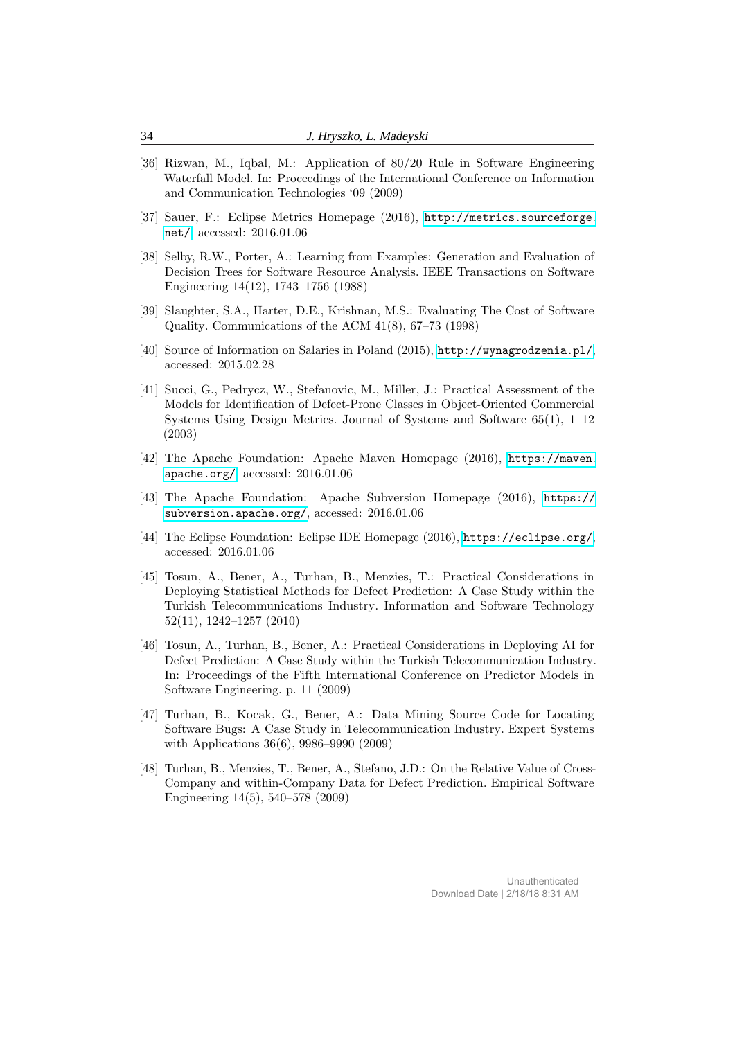- <span id="page-27-10"></span>[36] Rizwan, M., Iqbal, M.: Application of 80/20 Rule in Software Engineering Waterfall Model. In: Proceedings of the International Conference on Information and Communication Technologies '09 (2009)
- <span id="page-27-8"></span>[37] Sauer, F.: Eclipse Metrics Homepage (2016), [http://metrics.sourceforge.](http://metrics.sourceforge.net/) [net/](http://metrics.sourceforge.net/), accessed: 2016.01.06
- <span id="page-27-9"></span>[38] Selby, R.W., Porter, A.: Learning from Examples: Generation and Evaluation of Decision Trees for Software Resource Analysis. IEEE Transactions on Software Engineering 14(12), 1743–1756 (1988)
- <span id="page-27-11"></span>[39] Slaughter, S.A., Harter, D.E., Krishnan, M.S.: Evaluating The Cost of Software Quality. Communications of the ACM 41(8), 67–73 (1998)
- <span id="page-27-12"></span>[40] Source of Information on Salaries in Poland (2015), <http://wynagrodzenia.pl/>, accessed: 2015.02.28
- <span id="page-27-6"></span>[41] Succi, G., Pedrycz, W., Stefanovic, M., Miller, J.: Practical Assessment of the Models for Identification of Defect-Prone Classes in Object-Oriented Commercial Systems Using Design Metrics. Journal of Systems and Software 65(1), 1–12 (2003)
- <span id="page-27-1"></span>[42] The Apache Foundation: Apache Maven Homepage (2016), [https://maven.](https://maven.apache.org/) [apache.org/](https://maven.apache.org/), accessed: 2016.01.06
- <span id="page-27-2"></span>[43] The Apache Foundation: Apache Subversion Homepage (2016), [https://](https://subversion.apache.org/) [subversion.apache.org/](https://subversion.apache.org/), accessed: 2016.01.06
- <span id="page-27-0"></span>[44] The Eclipse Foundation: Eclipse IDE Homepage (2016), <https://eclipse.org/>, accessed: 2016.01.06
- <span id="page-27-3"></span>[45] Tosun, A., Bener, A., Turhan, B., Menzies, T.: Practical Considerations in Deploying Statistical Methods for Defect Prediction: A Case Study within the Turkish Telecommunications Industry. Information and Software Technology 52(11), 1242–1257 (2010)
- <span id="page-27-7"></span>[46] Tosun, A., Turhan, B., Bener, A.: Practical Considerations in Deploying AI for Defect Prediction: A Case Study within the Turkish Telecommunication Industry. In: Proceedings of the Fifth International Conference on Predictor Models in Software Engineering. p. 11 (2009)
- <span id="page-27-4"></span>[47] Turhan, B., Kocak, G., Bener, A.: Data Mining Source Code for Locating Software Bugs: A Case Study in Telecommunication Industry. Expert Systems with Applications 36(6), 9986–9990 (2009)
- <span id="page-27-5"></span>[48] Turhan, B., Menzies, T., Bener, A., Stefano, J.D.: On the Relative Value of Cross-Company and within-Company Data for Defect Prediction. Empirical Software Engineering 14(5), 540–578 (2009)